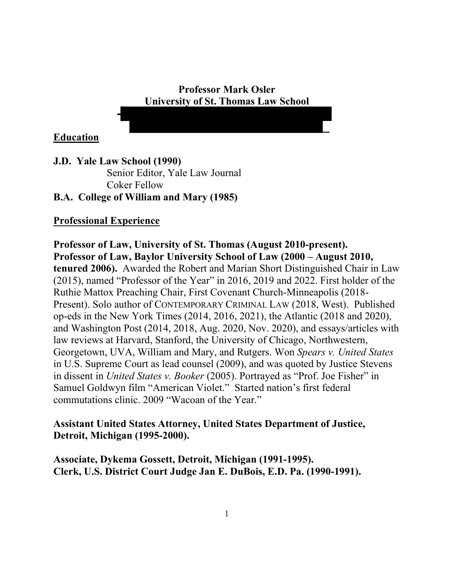### **Professor Mark Osler University of St. Thomas Law School**

**Education**

**J.D. Yale Law School (1990)** Senior Editor, Yale Law Journal Coker Fellow **B.A. College of William and Mary (1985)**

# **Professional Experience**

**Professor of Law, University of St. Thomas (August 2010-present). Professor of Law, Baylor University School of Law (2000 – August 2010, tenured 2006).** Awarded the Robert and Marian Short Distinguished Chair in Law (2015), named "Professor of the Year" in 2016, 2019 and 2022. First holder of the Ruthie Mattox Preaching Chair, First Covenant Church-Minneapolis (2018- Present). Solo author of CONTEMPORARY CRIMINAL LAW (2018, West).Published op-eds in the New York Times (2014, 2016, 2021), the Atlantic (2018 and 2020), and Washington Post (2014, 2018, Aug. 2020, Nov. 2020), and essays/articles with law reviews at Harvard, Stanford, the University of Chicago, Northwestern, Georgetown, UVA, William and Mary, and Rutgers. Won *Spears v. United States* in U.S. Supreme Court as lead counsel (2009), and was quoted by Justice Stevens in dissent in *United States v. Booker* (2005). Portrayed as "Prof. Joe Fisher" in Samuel Goldwyn film "American Violet." Started nation's first federal commutations clinic. 2009 "Wacoan of the Year."

# **Assistant United States Attorney, United States Department of Justice, Detroit, Michigan (1995-2000).**

**Associate, Dykema Gossett, Detroit, Michigan (1991-1995). Clerk, U.S. District Court Judge Jan E. DuBois, E.D. Pa. (1990-1991).**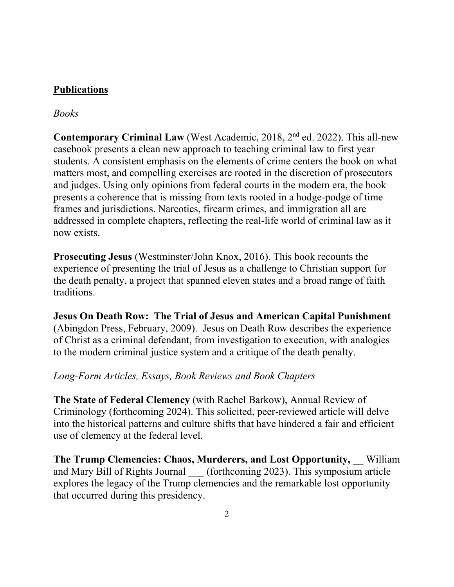# **Publications**

# *Books*

**Contemporary Criminal Law** (West Academic, 2018, 2nd ed. 2022). This all-new casebook presents a clean new approach to teaching criminal law to first year students. A consistent emphasis on the elements of crime centers the book on what matters most, and compelling exercises are rooted in the discretion of prosecutors and judges. Using only opinions from federal courts in the modern era, the book presents a coherence that is missing from texts rooted in a hodge-podge of time frames and jurisdictions. Narcotics, firearm crimes, and immigration all are addressed in complete chapters, reflecting the real-life world of criminal law as it now exists.

**Prosecuting Jesus** (Westminster/John Knox, 2016). This book recounts the experience of presenting the trial of Jesus as a challenge to Christian support for the death penalty, a project that spanned eleven states and a broad range of faith traditions.

**Jesus On Death Row: The Trial of Jesus and American Capital Punishment** (Abingdon Press, February, 2009). Jesus on Death Row describes the experience of Christ as a criminal defendant, from investigation to execution, with analogies to the modern criminal justice system and a critique of the death penalty.

# *Long-Form Articles, Essays, Book Reviews and Book Chapters*

**The State of Federal Clemency** (with Rachel Barkow), Annual Review of Criminology (forthcoming 2024). This solicited, peer-reviewed article will delve into the historical patterns and culture shifts that have hindered a fair and efficient use of clemency at the federal level.

**The Trump Clemencies: Chaos, Murderers, and Lost Opportunity,** \_\_ William and Mary Bill of Rights Journal (forthcoming 2023). This symposium article explores the legacy of the Trump clemencies and the remarkable lost opportunity that occurred during this presidency.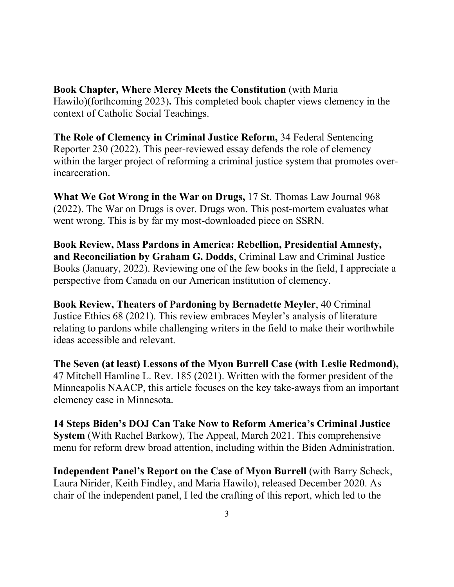**Book Chapter, Where Mercy Meets the Constitution** (with Maria) Hawilo)(forthcoming 2023)**.** This completed book chapter views clemency in the context of Catholic Social Teachings.

**The Role of Clemency in Criminal Justice Reform,** 34 Federal Sentencing Reporter 230 (2022). This peer-reviewed essay defends the role of clemency within the larger project of reforming a criminal justice system that promotes overincarceration.

**What We Got Wrong in the War on Drugs,** 17 St. Thomas Law Journal 968 (2022). The War on Drugs is over. Drugs won. This post-mortem evaluates what went wrong. This is by far my most-downloaded piece on SSRN.

**Book Review, Mass Pardons in America: Rebellion, Presidential Amnesty, and Reconciliation by Graham G. Dodds**, Criminal Law and Criminal Justice Books (January, 2022). Reviewing one of the few books in the field, I appreciate a perspective from Canada on our American institution of clemency.

**Book Review, Theaters of Pardoning by Bernadette Meyler**, 40 Criminal Justice Ethics 68 (2021). This review embraces Meyler's analysis of literature relating to pardons while challenging writers in the field to make their worthwhile ideas accessible and relevant.

**The Seven (at least) Lessons of the Myon Burrell Case (with Leslie Redmond),**  47 Mitchell Hamline L. Rev. 185 (2021). Written with the former president of the Minneapolis NAACP, this article focuses on the key take-aways from an important clemency case in Minnesota.

**14 Steps Biden's DOJ Can Take Now to Reform America's Criminal Justice System** (With Rachel Barkow), The Appeal, March 2021. This comprehensive menu for reform drew broad attention, including within the Biden Administration.

**Independent Panel's Report on the Case of Myon Burrell** (with Barry Scheck, Laura Nirider, Keith Findley, and Maria Hawilo), released December 2020. As chair of the independent panel, I led the crafting of this report, which led to the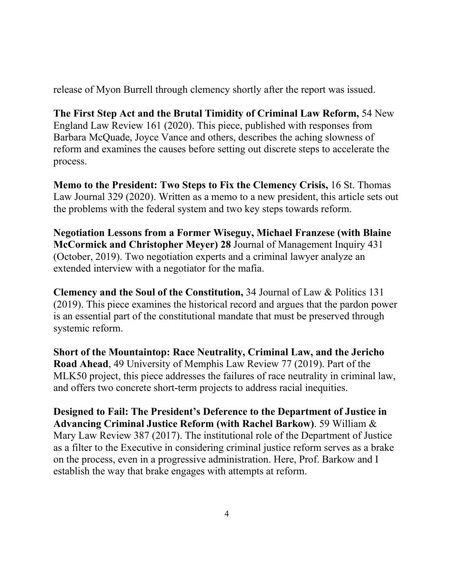release of Myon Burrell through clemency shortly after the report was issued.

**The First Step Act and the Brutal Timidity of Criminal Law Reform,** 54 New England Law Review 161 (2020). This piece, published with responses from Barbara McQuade, Joyce Vance and others, describes the aching slowness of reform and examines the causes before setting out discrete steps to accelerate the process.

**Memo to the President: Two Steps to Fix the Clemency Crisis,** 16 St. Thomas Law Journal 329 (2020). Written as a memo to a new president, this article sets out the problems with the federal system and two key steps towards reform.

**Negotiation Lessons from a Former Wiseguy, Michael Franzese (with Blaine McCormick and Christopher Meyer) 28** Journal of Management Inquiry 431 (October, 2019). Two negotiation experts and a criminal lawyer analyze an extended interview with a negotiator for the mafia.

**Clemency and the Soul of the Constitution,** 34 Journal of Law & Politics 131 (2019). This piece examines the historical record and argues that the pardon power is an essential part of the constitutional mandate that must be preserved through systemic reform.

**Short of the Mountaintop: Race Neutrality, Criminal Law, and the Jericho Road Ahead**, 49 University of Memphis Law Review 77 (2019). Part of the MLK50 project, this piece addresses the failures of race neutrality in criminal law, and offers two concrete short-term projects to address racial inequities.

**Designed to Fail: The President's Deference to the Department of Justice in Advancing Criminal Justice Reform (with Rachel Barkow)**. 59 William & Mary Law Review 387 (2017). The institutional role of the Department of Justice as a filter to the Executive in considering criminal justice reform serves as a brake on the process, even in a progressive administration. Here, Prof. Barkow and I establish the way that brake engages with attempts at reform.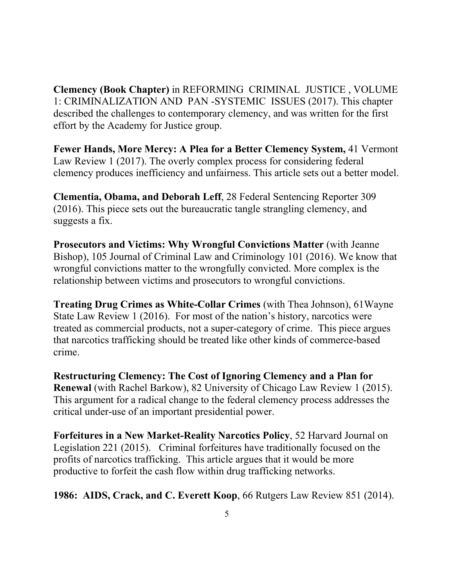**Clemency (Book Chapter)** in REFORMING CRIMINAL JUSTICE , VOLUME 1: CRIMINALIZATION AND PAN -SYSTEMIC ISSUES (2017). This chapter described the challenges to contemporary clemency, and was written for the first effort by the Academy for Justice group.

**Fewer Hands, More Mercy: A Plea for a Better Clemency System,** 41 Vermont Law Review 1 (2017). The overly complex process for considering federal clemency produces inefficiency and unfairness. This article sets out a better model.

**Clementia, Obama, and Deborah Leff**, 28 Federal Sentencing Reporter 309 (2016). This piece sets out the bureaucratic tangle strangling clemency, and suggests a fix.

**Prosecutors and Victims: Why Wrongful Convictions Matter** (with Jeanne Bishop), 105 Journal of Criminal Law and Criminology 101 (2016). We know that wrongful convictions matter to the wrongfully convicted. More complex is the relationship between victims and prosecutors to wrongful convictions.

**Treating Drug Crimes as White-Collar Crimes** (with Thea Johnson), 61Wayne State Law Review 1 (2016). For most of the nation's history, narcotics were treated as commercial products, not a super-category of crime. This piece argues that narcotics trafficking should be treated like other kinds of commerce-based crime.

**Restructuring Clemency: The Cost of Ignoring Clemency and a Plan for Renewal** (with Rachel Barkow), 82 University of Chicago Law Review 1 (2015). This argument for a radical change to the federal clemency process addresses the critical under-use of an important presidential power.

**Forfeitures in a New Market-Reality Narcotics Policy**, 52 Harvard Journal on Legislation 221 (2015). Criminal forfeitures have traditionally focused on the profits of narcotics trafficking. This article argues that it would be more productive to forfeit the cash flow within drug trafficking networks.

**1986: AIDS, Crack, and C. Everett Koop**, 66 Rutgers Law Review 851 (2014).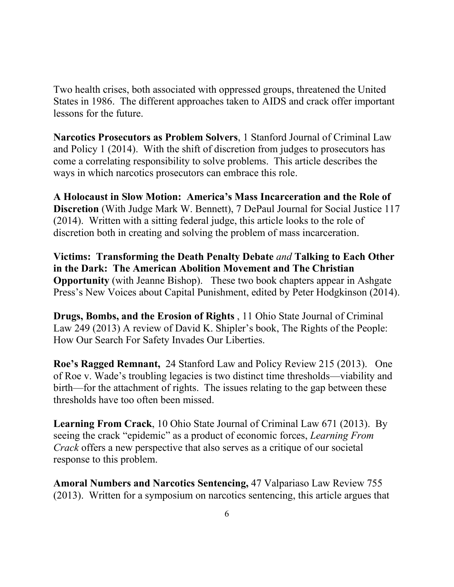Two health crises, both associated with oppressed groups, threatened the United States in 1986. The different approaches taken to AIDS and crack offer important lessons for the future.

**Narcotics Prosecutors as Problem Solvers**, 1 Stanford Journal of Criminal Law and Policy 1 (2014). With the shift of discretion from judges to prosecutors has come a correlating responsibility to solve problems. This article describes the ways in which narcotics prosecutors can embrace this role.

**A Holocaust in Slow Motion: America's Mass Incarceration and the Role of Discretion** (With Judge Mark W. Bennett), 7 DePaul Journal for Social Justice 117 (2014). Written with a sitting federal judge, this article looks to the role of discretion both in creating and solving the problem of mass incarceration.

**Victims: Transforming the Death Penalty Debate** *and* **Talking to Each Other in the Dark: The American Abolition Movement and The Christian Opportunity** (with Jeanne Bishop). These two book chapters appear in Ashgate Press's New Voices about Capital Punishment, edited by Peter Hodgkinson (2014).

**Drugs, Bombs, and the Erosion of Rights** , 11 Ohio State Journal of Criminal Law 249 (2013) A review of David K. Shipler's book, The Rights of the People: How Our Search For Safety Invades Our Liberties.

**Roe's Ragged Remnant,** 24 Stanford Law and Policy Review 215 (2013). One of Roe v. Wade's troubling legacies is two distinct time thresholds—viability and birth—for the attachment of rights. The issues relating to the gap between these thresholds have too often been missed.

**Learning From Crack**, 10 Ohio State Journal of Criminal Law 671 (2013). By seeing the crack "epidemic" as a product of economic forces, *Learning From Crack* offers a new perspective that also serves as a critique of our societal response to this problem.

**Amoral Numbers and Narcotics Sentencing,** 47 Valpariaso Law Review 755 (2013). Written for a symposium on narcotics sentencing, this article argues that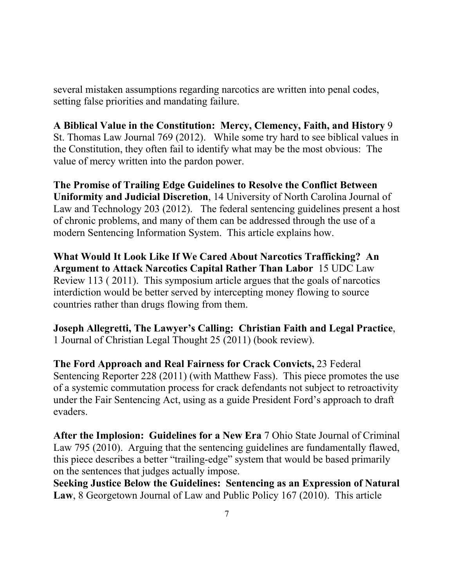several mistaken assumptions regarding narcotics are written into penal codes, setting false priorities and mandating failure.

# **A Biblical Value in the Constitution: Mercy, Clemency, Faith, and History** 9

St. Thomas Law Journal 769 (2012). While some try hard to see biblical values in the Constitution, they often fail to identify what may be the most obvious: The value of mercy written into the pardon power.

**The Promise of Trailing Edge Guidelines to Resolve the Conflict Between Uniformity and Judicial Discretion**, 14 University of North Carolina Journal of Law and Technology 203 (2012). The federal sentencing guidelines present a host of chronic problems, and many of them can be addressed through the use of a modern Sentencing Information System. This article explains how.

**What Would It Look Like If We Cared About Narcotics Trafficking? An Argument to Attack Narcotics Capital Rather Than Labor** 15 UDC Law Review 113 ( 2011). This symposium article argues that the goals of narcotics interdiction would be better served by intercepting money flowing to source countries rather than drugs flowing from them.

**Joseph Allegretti, The Lawyer's Calling: Christian Faith and Legal Practice**, 1 Journal of Christian Legal Thought 25 (2011) (book review).

**The Ford Approach and Real Fairness for Crack Convicts,** 23 Federal Sentencing Reporter 228 (2011) (with Matthew Fass). This piece promotes the use of a systemic commutation process for crack defendants not subject to retroactivity under the Fair Sentencing Act, using as a guide President Ford's approach to draft evaders.

**After the Implosion: Guidelines for a New Era** 7 Ohio State Journal of Criminal Law 795 (2010). Arguing that the sentencing guidelines are fundamentally flawed, this piece describes a better "trailing-edge" system that would be based primarily on the sentences that judges actually impose.

**Seeking Justice Below the Guidelines: Sentencing as an Expression of Natural Law**, 8 Georgetown Journal of Law and Public Policy 167 (2010). This article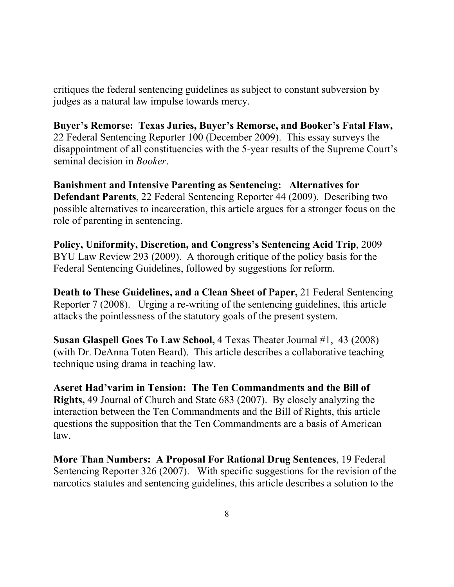critiques the federal sentencing guidelines as subject to constant subversion by judges as a natural law impulse towards mercy.

# **Buyer's Remorse: Texas Juries, Buyer's Remorse, and Booker's Fatal Flaw,**

22 Federal Sentencing Reporter 100 (December 2009). This essay surveys the disappointment of all constituencies with the 5-year results of the Supreme Court's seminal decision in *Booker*.

**Banishment and Intensive Parenting as Sentencing: Alternatives for Defendant Parents**, 22 Federal Sentencing Reporter 44 (2009). Describing two possible alternatives to incarceration, this article argues for a stronger focus on the role of parenting in sentencing.

**Policy, Uniformity, Discretion, and Congress's Sentencing Acid Trip**, 2009 BYU Law Review 293 (2009). A thorough critique of the policy basis for the Federal Sentencing Guidelines, followed by suggestions for reform.

**Death to These Guidelines, and a Clean Sheet of Paper,** 21 Federal Sentencing Reporter 7 (2008). Urging a re-writing of the sentencing guidelines, this article attacks the pointlessness of the statutory goals of the present system.

**Susan Glaspell Goes To Law School,** 4 Texas Theater Journal #1, 43 (2008) (with Dr. DeAnna Toten Beard). This article describes a collaborative teaching technique using drama in teaching law.

**Aseret Had'varim in Tension: The Ten Commandments and the Bill of Rights,** 49 Journal of Church and State 683 (2007). By closely analyzing the interaction between the Ten Commandments and the Bill of Rights, this article questions the supposition that the Ten Commandments are a basis of American law.

**More Than Numbers: A Proposal For Rational Drug Sentences**, 19 Federal Sentencing Reporter 326 (2007). With specific suggestions for the revision of the narcotics statutes and sentencing guidelines, this article describes a solution to the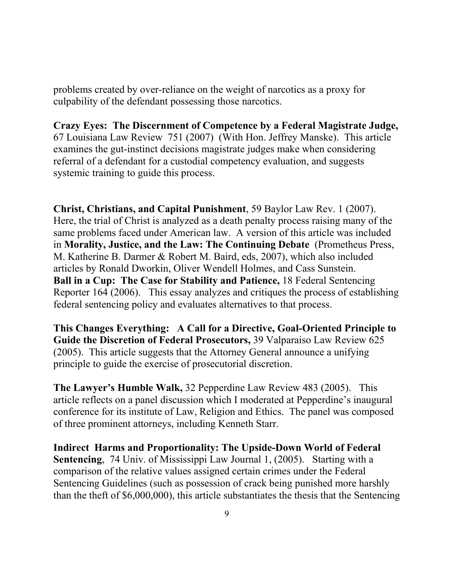problems created by over-reliance on the weight of narcotics as a proxy for culpability of the defendant possessing those narcotics.

**Crazy Eyes: The Discernment of Competence by a Federal Magistrate Judge,**  67 Louisiana Law Review 751 (2007) (With Hon. Jeffrey Manske). This article examines the gut-instinct decisions magistrate judges make when considering referral of a defendant for a custodial competency evaluation, and suggests systemic training to guide this process.

**Christ, Christians, and Capital Punishment**, 59 Baylor Law Rev. 1 (2007). Here, the trial of Christ is analyzed as a death penalty process raising many of the same problems faced under American law. A version of this article was included in **Morality, Justice, and the Law: The Continuing Debate** (Prometheus Press, M. Katherine B. Darmer & Robert M. Baird, eds, 2007), which also included articles by Ronald Dworkin, Oliver Wendell Holmes, and Cass Sunstein. **Ball in a Cup: The Case for Stability and Patience,** 18 Federal Sentencing Reporter 164 (2006). This essay analyzes and critiques the process of establishing federal sentencing policy and evaluates alternatives to that process.

**This Changes Everything: A Call for a Directive, Goal-Oriented Principle to Guide the Discretion of Federal Prosecutors,** 39 Valparaiso Law Review 625 (2005). This article suggests that the Attorney General announce a unifying principle to guide the exercise of prosecutorial discretion.

**The Lawyer's Humble Walk,** 32 Pepperdine Law Review 483 (2005). This article reflects on a panel discussion which I moderated at Pepperdine's inaugural conference for its institute of Law, Religion and Ethics. The panel was composed of three prominent attorneys, including Kenneth Starr.

**Indirect Harms and Proportionality: The Upside-Down World of Federal Sentencing**, 74 Univ. of Mississippi Law Journal 1, (2005). Starting with a comparison of the relative values assigned certain crimes under the Federal Sentencing Guidelines (such as possession of crack being punished more harshly than the theft of \$6,000,000), this article substantiates the thesis that the Sentencing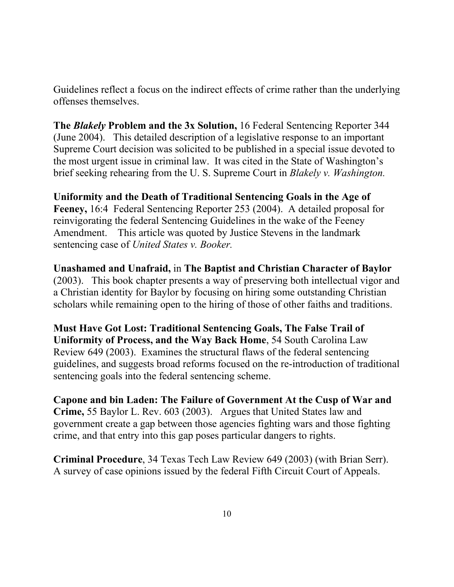Guidelines reflect a focus on the indirect effects of crime rather than the underlying offenses themselves.

**The** *Blakely* **Problem and the 3x Solution,** 16 Federal Sentencing Reporter 344 (June 2004). This detailed description of a legislative response to an important Supreme Court decision was solicited to be published in a special issue devoted to the most urgent issue in criminal law. It was cited in the State of Washington's brief seeking rehearing from the U. S. Supreme Court in *Blakely v. Washington.*

**Uniformity and the Death of Traditional Sentencing Goals in the Age of Feeney,** 16:4 Federal Sentencing Reporter 253 (2004). A detailed proposal for reinvigorating the federal Sentencing Guidelines in the wake of the Feeney Amendment. This article was quoted by Justice Stevens in the landmark sentencing case of *United States v. Booker.*

**Unashamed and Unafraid,** in **The Baptist and Christian Character of Baylor**  (2003). This book chapter presents a way of preserving both intellectual vigor and a Christian identity for Baylor by focusing on hiring some outstanding Christian scholars while remaining open to the hiring of those of other faiths and traditions.

**Must Have Got Lost: Traditional Sentencing Goals, The False Trail of Uniformity of Process, and the Way Back Home**, 54 South Carolina Law Review 649 (2003). Examines the structural flaws of the federal sentencing guidelines, and suggests broad reforms focused on the re-introduction of traditional sentencing goals into the federal sentencing scheme.

**Capone and bin Laden: The Failure of Government At the Cusp of War and Crime,** 55 Baylor L. Rev. 603 (2003). Argues that United States law and government create a gap between those agencies fighting wars and those fighting crime, and that entry into this gap poses particular dangers to rights.

**Criminal Procedure**, 34 Texas Tech Law Review 649 (2003) (with Brian Serr). A survey of case opinions issued by the federal Fifth Circuit Court of Appeals.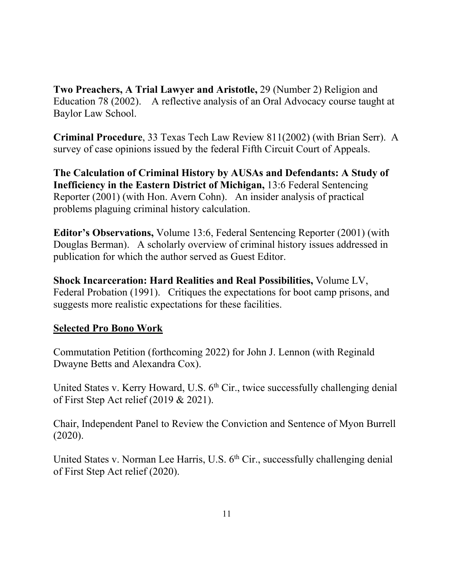**Two Preachers, A Trial Lawyer and Aristotle,** 29 (Number 2) Religion and Education 78 (2002). A reflective analysis of an Oral Advocacy course taught at Baylor Law School.

**Criminal Procedure**, 33 Texas Tech Law Review 811(2002) (with Brian Serr). A survey of case opinions issued by the federal Fifth Circuit Court of Appeals.

**The Calculation of Criminal History by AUSAs and Defendants: A Study of Inefficiency in the Eastern District of Michigan,** 13:6 Federal Sentencing Reporter (2001) (with Hon. Avern Cohn). An insider analysis of practical problems plaguing criminal history calculation.

**Editor's Observations,** Volume 13:6, Federal Sentencing Reporter (2001) (with Douglas Berman). A scholarly overview of criminal history issues addressed in publication for which the author served as Guest Editor.

**Shock Incarceration: Hard Realities and Real Possibilities,** Volume LV, Federal Probation (1991). Critiques the expectations for boot camp prisons, and suggests more realistic expectations for these facilities.

# **Selected Pro Bono Work**

Commutation Petition (forthcoming 2022) for John J. Lennon (with Reginald Dwayne Betts and Alexandra Cox).

United States v. Kerry Howard, U.S. 6<sup>th</sup> Cir., twice successfully challenging denial of First Step Act relief (2019 & 2021).

Chair, Independent Panel to Review the Conviction and Sentence of Myon Burrell (2020).

United States v. Norman Lee Harris, U.S. 6<sup>th</sup> Cir., successfully challenging denial of First Step Act relief (2020).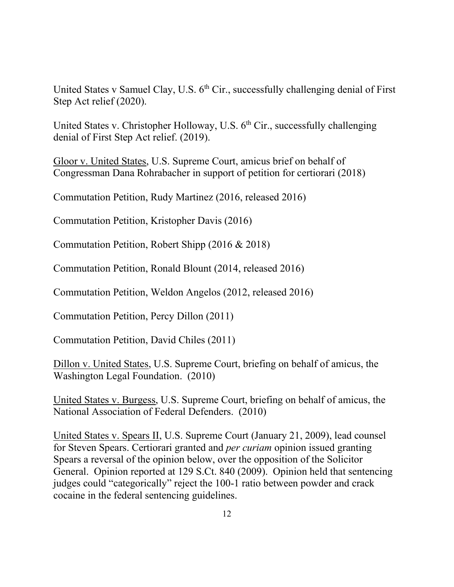United States v Samuel Clay, U.S.  $6<sup>th</sup>$  Cir., successfully challenging denial of First Step Act relief (2020).

United States v. Christopher Holloway, U.S. 6<sup>th</sup> Cir., successfully challenging denial of First Step Act relief. (2019).

Gloor v. United States, U.S. Supreme Court, amicus brief on behalf of Congressman Dana Rohrabacher in support of petition for certiorari (2018)

Commutation Petition, Rudy Martinez (2016, released 2016)

Commutation Petition, Kristopher Davis (2016)

Commutation Petition, Robert Shipp (2016 & 2018)

Commutation Petition, Ronald Blount (2014, released 2016)

Commutation Petition, Weldon Angelos (2012, released 2016)

Commutation Petition, Percy Dillon (2011)

Commutation Petition, David Chiles (2011)

Dillon v. United States, U.S. Supreme Court, briefing on behalf of amicus, the Washington Legal Foundation. (2010)

United States v. Burgess, U.S. Supreme Court, briefing on behalf of amicus, the National Association of Federal Defenders. (2010)

United States v. Spears II, U.S. Supreme Court (January 21, 2009), lead counsel for Steven Spears. Certiorari granted and *per curiam* opinion issued granting Spears a reversal of the opinion below, over the opposition of the Solicitor General. Opinion reported at 129 S.Ct. 840 (2009). Opinion held that sentencing judges could "categorically" reject the 100-1 ratio between powder and crack cocaine in the federal sentencing guidelines.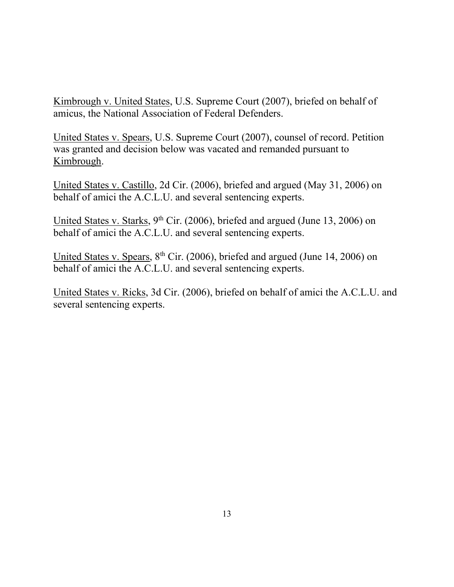Kimbrough v. United States, U.S. Supreme Court (2007), briefed on behalf of amicus, the National Association of Federal Defenders.

United States v. Spears, U.S. Supreme Court (2007), counsel of record. Petition was granted and decision below was vacated and remanded pursuant to Kimbrough.

United States v. Castillo, 2d Cir. (2006), briefed and argued (May 31, 2006) on behalf of amici the A.C.L.U. and several sentencing experts.

United States v. Starks,  $9<sup>th</sup>$  Cir. (2006), briefed and argued (June 13, 2006) on behalf of amici the A.C.L.U. and several sentencing experts.

United States v. Spears, 8<sup>th</sup> Cir. (2006), briefed and argued (June 14, 2006) on behalf of amici the A.C.L.U. and several sentencing experts.

United States v. Ricks, 3d Cir. (2006), briefed on behalf of amici the A.C.L.U. and several sentencing experts.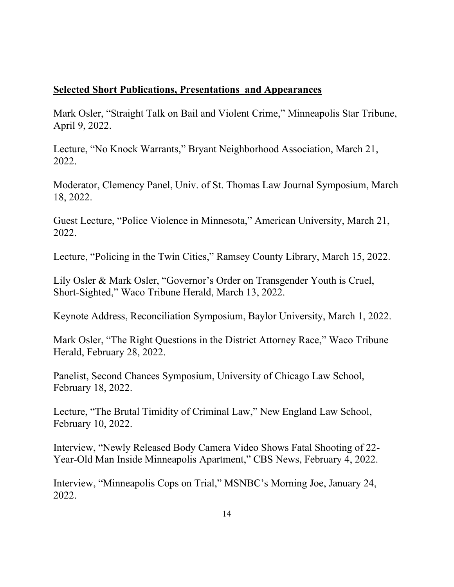### **Selected Short Publications, Presentations and Appearances**

Mark Osler, "Straight Talk on Bail and Violent Crime," Minneapolis Star Tribune, April 9, 2022.

Lecture, "No Knock Warrants," Bryant Neighborhood Association, March 21, 2022.

Moderator, Clemency Panel, Univ. of St. Thomas Law Journal Symposium, March 18, 2022.

Guest Lecture, "Police Violence in Minnesota," American University, March 21, 2022.

Lecture, "Policing in the Twin Cities," Ramsey County Library, March 15, 2022.

Lily Osler & Mark Osler, "Governor's Order on Transgender Youth is Cruel, Short-Sighted," Waco Tribune Herald, March 13, 2022.

Keynote Address, Reconciliation Symposium, Baylor University, March 1, 2022.

Mark Osler, "The Right Questions in the District Attorney Race," Waco Tribune Herald, February 28, 2022.

Panelist, Second Chances Symposium, University of Chicago Law School, February 18, 2022.

Lecture, "The Brutal Timidity of Criminal Law," New England Law School, February 10, 2022.

Interview, "Newly Released Body Camera Video Shows Fatal Shooting of 22- Year-Old Man Inside Minneapolis Apartment," CBS News, February 4, 2022.

Interview, "Minneapolis Cops on Trial," MSNBC's Morning Joe, January 24, 2022.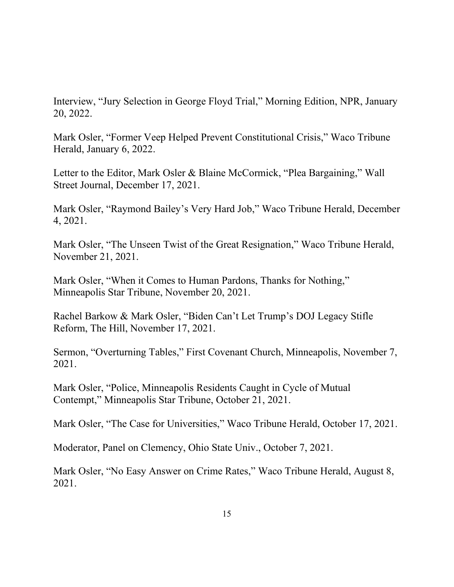Interview, "Jury Selection in George Floyd Trial," Morning Edition, NPR, January 20, 2022.

Mark Osler, "Former Veep Helped Prevent Constitutional Crisis," Waco Tribune Herald, January 6, 2022.

Letter to the Editor, Mark Osler & Blaine McCormick, "Plea Bargaining," Wall Street Journal, December 17, 2021.

Mark Osler, "Raymond Bailey's Very Hard Job," Waco Tribune Herald, December 4, 2021.

Mark Osler, "The Unseen Twist of the Great Resignation," Waco Tribune Herald, November 21, 2021.

Mark Osler, "When it Comes to Human Pardons, Thanks for Nothing," Minneapolis Star Tribune, November 20, 2021.

Rachel Barkow & Mark Osler, "Biden Can't Let Trump's DOJ Legacy Stifle Reform, The Hill, November 17, 2021.

Sermon, "Overturning Tables," First Covenant Church, Minneapolis, November 7, 2021.

Mark Osler, "Police, Minneapolis Residents Caught in Cycle of Mutual Contempt," Minneapolis Star Tribune, October 21, 2021.

Mark Osler, "The Case for Universities," Waco Tribune Herald, October 17, 2021.

Moderator, Panel on Clemency, Ohio State Univ., October 7, 2021.

Mark Osler, "No Easy Answer on Crime Rates," Waco Tribune Herald, August 8, 2021.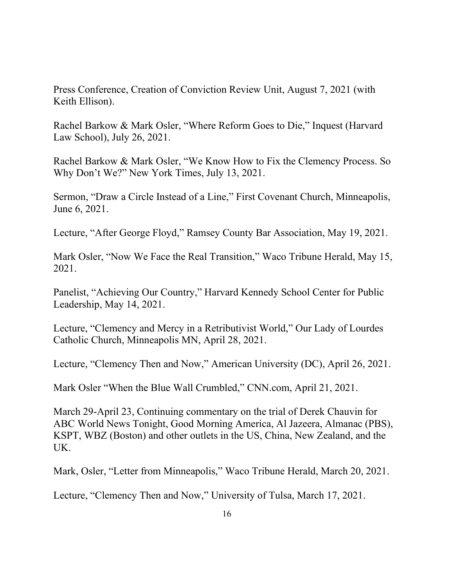Press Conference, Creation of Conviction Review Unit, August 7, 2021 (with Keith Ellison).

Rachel Barkow & Mark Osler, "Where Reform Goes to Die," Inquest (Harvard Law School), July 26, 2021.

Rachel Barkow & Mark Osler, "We Know How to Fix the Clemency Process. So Why Don't We?" New York Times, July 13, 2021.

Sermon, "Draw a Circle Instead of a Line," First Covenant Church, Minneapolis, June 6, 2021.

Lecture, "After George Floyd," Ramsey County Bar Association, May 19, 2021.

Mark Osler, "Now We Face the Real Transition," Waco Tribune Herald, May 15, 2021.

Panelist, "Achieving Our Country," Harvard Kennedy School Center for Public Leadership, May 14, 2021.

Lecture, "Clemency and Mercy in a Retributivist World," Our Lady of Lourdes Catholic Church, Minneapolis MN, April 28, 2021.

Lecture, "Clemency Then and Now," American University (DC), April 26, 2021.

Mark Osler "When the Blue Wall Crumbled," CNN.com, April 21, 2021.

March 29-April 23, Continuing commentary on the trial of Derek Chauvin for ABC World News Tonight, Good Morning America, Al Jazeera, Almanac (PBS), KSPT, WBZ (Boston) and other outlets in the US, China, New Zealand, and the UK.

Mark, Osler, "Letter from Minneapolis," Waco Tribune Herald, March 20, 2021.

Lecture, "Clemency Then and Now," University of Tulsa, March 17, 2021.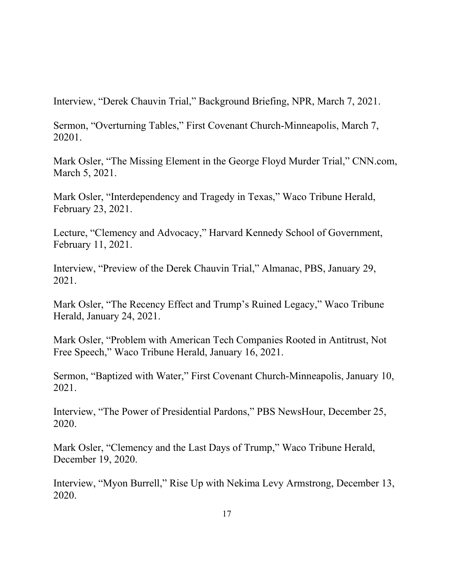Interview, "Derek Chauvin Trial," Background Briefing, NPR, March 7, 2021.

Sermon, "Overturning Tables," First Covenant Church-Minneapolis, March 7, 20201.

Mark Osler, "The Missing Element in the George Floyd Murder Trial," CNN.com, March 5, 2021.

Mark Osler, "Interdependency and Tragedy in Texas," Waco Tribune Herald, February 23, 2021.

Lecture, "Clemency and Advocacy," Harvard Kennedy School of Government, February 11, 2021.

Interview, "Preview of the Derek Chauvin Trial," Almanac, PBS, January 29, 2021.

Mark Osler, "The Recency Effect and Trump's Ruined Legacy," Waco Tribune Herald, January 24, 2021.

Mark Osler, "Problem with American Tech Companies Rooted in Antitrust, Not Free Speech," Waco Tribune Herald, January 16, 2021.

Sermon, "Baptized with Water," First Covenant Church-Minneapolis, January 10, 2021.

Interview, "The Power of Presidential Pardons," PBS NewsHour, December 25, 2020.

Mark Osler, "Clemency and the Last Days of Trump," Waco Tribune Herald, December 19, 2020.

Interview, "Myon Burrell," Rise Up with Nekima Levy Armstrong, December 13, 2020.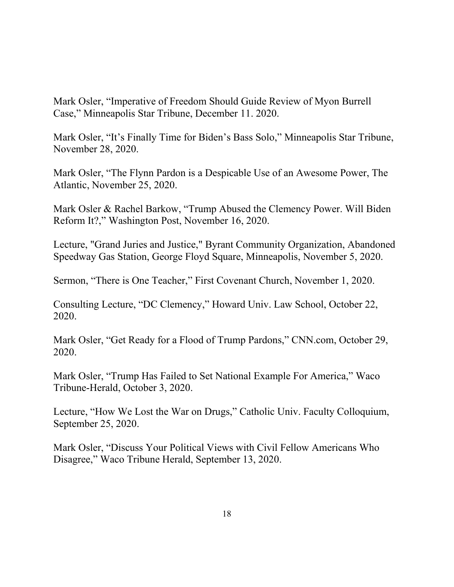Mark Osler, "Imperative of Freedom Should Guide Review of Myon Burrell Case," Minneapolis Star Tribune, December 11. 2020.

Mark Osler, "It's Finally Time for Biden's Bass Solo," Minneapolis Star Tribune, November 28, 2020.

Mark Osler, "The Flynn Pardon is a Despicable Use of an Awesome Power, The Atlantic, November 25, 2020.

Mark Osler & Rachel Barkow, "Trump Abused the Clemency Power. Will Biden Reform It?," Washington Post, November 16, 2020.

Lecture, "Grand Juries and Justice," Byrant Community Organization, Abandoned Speedway Gas Station, George Floyd Square, Minneapolis, November 5, 2020.

Sermon, "There is One Teacher," First Covenant Church, November 1, 2020.

Consulting Lecture, "DC Clemency," Howard Univ. Law School, October 22, 2020.

Mark Osler, "Get Ready for a Flood of Trump Pardons," CNN.com, October 29, 2020.

Mark Osler, "Trump Has Failed to Set National Example For America," Waco Tribune-Herald, October 3, 2020.

Lecture, "How We Lost the War on Drugs," Catholic Univ. Faculty Colloquium, September 25, 2020.

Mark Osler, "Discuss Your Political Views with Civil Fellow Americans Who Disagree," Waco Tribune Herald, September 13, 2020.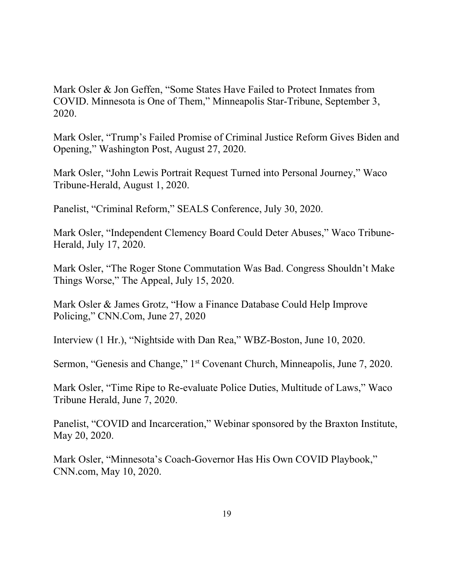Mark Osler & Jon Geffen, "Some States Have Failed to Protect Inmates from COVID. Minnesota is One of Them," Minneapolis Star-Tribune, September 3, 2020.

Mark Osler, "Trump's Failed Promise of Criminal Justice Reform Gives Biden and Opening," Washington Post, August 27, 2020.

Mark Osler, "John Lewis Portrait Request Turned into Personal Journey," Waco Tribune-Herald, August 1, 2020.

Panelist, "Criminal Reform," SEALS Conference, July 30, 2020.

Mark Osler, "Independent Clemency Board Could Deter Abuses," Waco Tribune-Herald, July 17, 2020.

Mark Osler, "The Roger Stone Commutation Was Bad. Congress Shouldn't Make Things Worse," The Appeal, July 15, 2020.

Mark Osler & James Grotz, "How a Finance Database Could Help Improve Policing," CNN.Com, June 27, 2020

Interview (1 Hr.), "Nightside with Dan Rea," WBZ-Boston, June 10, 2020.

Sermon, "Genesis and Change," 1<sup>st</sup> Covenant Church, Minneapolis, June 7, 2020.

Mark Osler, "Time Ripe to Re-evaluate Police Duties, Multitude of Laws," Waco Tribune Herald, June 7, 2020.

Panelist, "COVID and Incarceration," Webinar sponsored by the Braxton Institute, May 20, 2020.

Mark Osler, "Minnesota's Coach-Governor Has His Own COVID Playbook," CNN.com, May 10, 2020.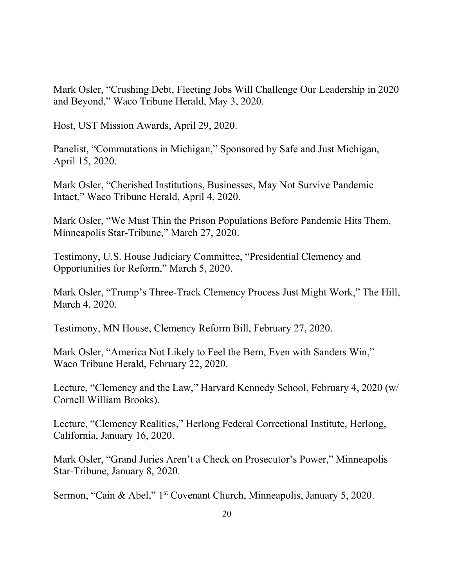Mark Osler, "Crushing Debt, Fleeting Jobs Will Challenge Our Leadership in 2020 and Beyond," Waco Tribune Herald, May 3, 2020.

Host, UST Mission Awards, April 29, 2020.

Panelist, "Commutations in Michigan," Sponsored by Safe and Just Michigan, April 15, 2020.

Mark Osler, "Cherished Institutions, Businesses, May Not Survive Pandemic Intact," Waco Tribune Herald, April 4, 2020.

Mark Osler, "We Must Thin the Prison Populations Before Pandemic Hits Them, Minneapolis Star-Tribune," March 27, 2020.

Testimony, U.S. House Judiciary Committee, "Presidential Clemency and Opportunities for Reform," March 5, 2020.

Mark Osler, "Trump's Three-Track Clemency Process Just Might Work," The Hill, March 4, 2020.

Testimony, MN House, Clemency Reform Bill, February 27, 2020.

Mark Osler, "America Not Likely to Feel the Bern, Even with Sanders Win," Waco Tribune Herald, February 22, 2020.

Lecture, "Clemency and the Law," Harvard Kennedy School, February 4, 2020 (w/ Cornell William Brooks).

Lecture, "Clemency Realities," Herlong Federal Correctional Institute, Herlong, California, January 16, 2020.

Mark Osler, "Grand Juries Aren't a Check on Prosecutor's Power," Minneapolis Star-Tribune, January 8, 2020.

Sermon, "Cain & Abel," 1<sup>st</sup> Covenant Church, Minneapolis, January 5, 2020.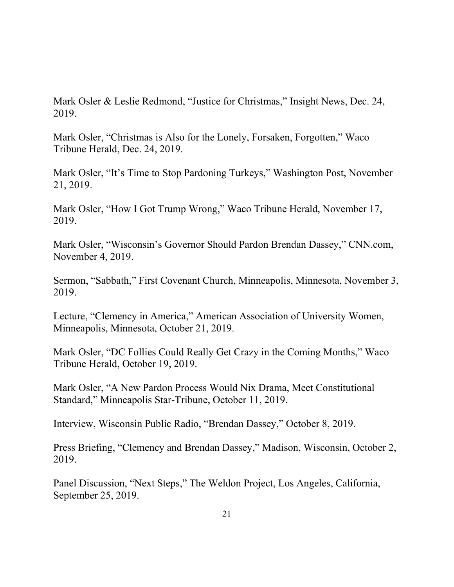Mark Osler & Leslie Redmond, "Justice for Christmas," Insight News, Dec. 24, 2019.

Mark Osler, "Christmas is Also for the Lonely, Forsaken, Forgotten," Waco Tribune Herald, Dec. 24, 2019.

Mark Osler, "It's Time to Stop Pardoning Turkeys," Washington Post, November 21, 2019.

Mark Osler, "How I Got Trump Wrong," Waco Tribune Herald, November 17, 2019.

Mark Osler, "Wisconsin's Governor Should Pardon Brendan Dassey," CNN.com, November 4, 2019.

Sermon, "Sabbath," First Covenant Church, Minneapolis, Minnesota, November 3, 2019.

Lecture, "Clemency in America," American Association of University Women, Minneapolis, Minnesota, October 21, 2019.

Mark Osler, "DC Follies Could Really Get Crazy in the Coming Months," Waco Tribune Herald, October 19, 2019.

Mark Osler, "A New Pardon Process Would Nix Drama, Meet Constitutional Standard," Minneapolis Star-Tribune, October 11, 2019.

Interview, Wisconsin Public Radio, "Brendan Dassey," October 8, 2019.

Press Briefing, "Clemency and Brendan Dassey," Madison, Wisconsin, October 2, 2019.

Panel Discussion, "Next Steps," The Weldon Project, Los Angeles, California, September 25, 2019.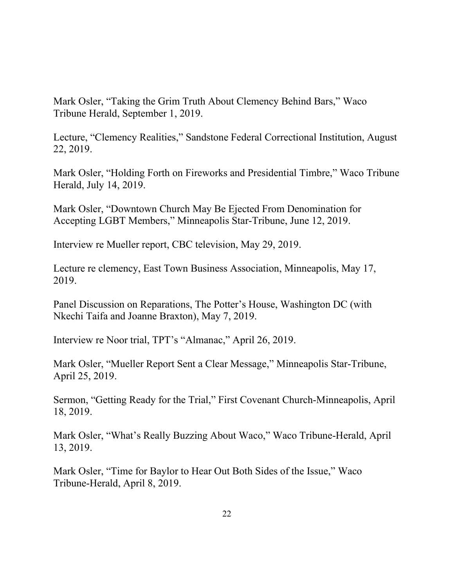Mark Osler, "Taking the Grim Truth About Clemency Behind Bars," Waco Tribune Herald, September 1, 2019.

Lecture, "Clemency Realities," Sandstone Federal Correctional Institution, August 22, 2019.

Mark Osler, "Holding Forth on Fireworks and Presidential Timbre," Waco Tribune Herald, July 14, 2019.

Mark Osler, "Downtown Church May Be Ejected From Denomination for Accepting LGBT Members," Minneapolis Star-Tribune, June 12, 2019.

Interview re Mueller report, CBC television, May 29, 2019.

Lecture re clemency, East Town Business Association, Minneapolis, May 17, 2019.

Panel Discussion on Reparations, The Potter's House, Washington DC (with Nkechi Taifa and Joanne Braxton), May 7, 2019.

Interview re Noor trial, TPT's "Almanac," April 26, 2019.

Mark Osler, "Mueller Report Sent a Clear Message," Minneapolis Star-Tribune, April 25, 2019.

Sermon, "Getting Ready for the Trial," First Covenant Church-Minneapolis, April 18, 2019.

Mark Osler, "What's Really Buzzing About Waco," Waco Tribune-Herald, April 13, 2019.

Mark Osler, "Time for Baylor to Hear Out Both Sides of the Issue," Waco Tribune-Herald, April 8, 2019.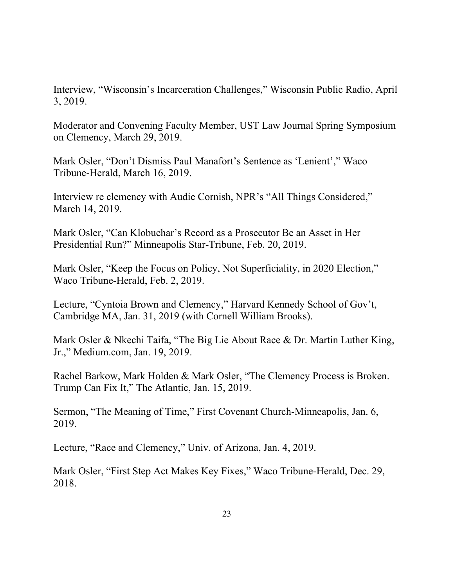Interview, "Wisconsin's Incarceration Challenges," Wisconsin Public Radio, April 3, 2019.

Moderator and Convening Faculty Member, UST Law Journal Spring Symposium on Clemency, March 29, 2019.

Mark Osler, "Don't Dismiss Paul Manafort's Sentence as 'Lenient'," Waco Tribune-Herald, March 16, 2019.

Interview re clemency with Audie Cornish, NPR's "All Things Considered," March 14, 2019.

Mark Osler, "Can Klobuchar's Record as a Prosecutor Be an Asset in Her Presidential Run?" Minneapolis Star-Tribune, Feb. 20, 2019.

Mark Osler, "Keep the Focus on Policy, Not Superficiality, in 2020 Election," Waco Tribune-Herald, Feb. 2, 2019.

Lecture, "Cyntoia Brown and Clemency," Harvard Kennedy School of Gov't, Cambridge MA, Jan. 31, 2019 (with Cornell William Brooks).

Mark Osler & Nkechi Taifa, "The Big Lie About Race & Dr. Martin Luther King, Jr.," Medium.com, Jan. 19, 2019.

Rachel Barkow, Mark Holden & Mark Osler, "The Clemency Process is Broken. Trump Can Fix It," The Atlantic, Jan. 15, 2019.

Sermon, "The Meaning of Time," First Covenant Church-Minneapolis, Jan. 6, 2019.

Lecture, "Race and Clemency," Univ. of Arizona, Jan. 4, 2019.

Mark Osler, "First Step Act Makes Key Fixes," Waco Tribune-Herald, Dec. 29, 2018.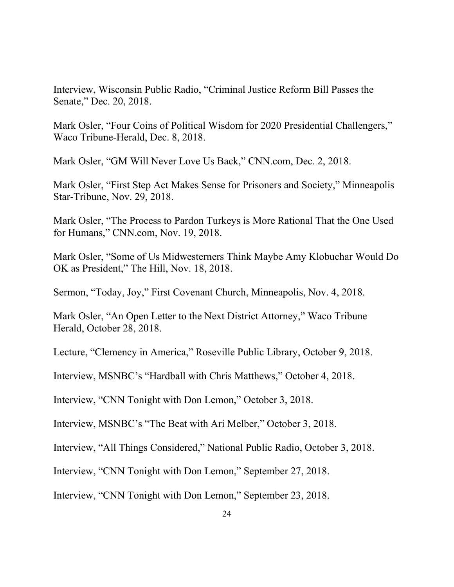Interview, Wisconsin Public Radio, "Criminal Justice Reform Bill Passes the Senate," Dec. 20, 2018.

Mark Osler, "Four Coins of Political Wisdom for 2020 Presidential Challengers," Waco Tribune-Herald, Dec. 8, 2018.

Mark Osler, "GM Will Never Love Us Back," CNN.com, Dec. 2, 2018.

Mark Osler, "First Step Act Makes Sense for Prisoners and Society," Minneapolis Star-Tribune, Nov. 29, 2018.

Mark Osler, "The Process to Pardon Turkeys is More Rational That the One Used for Humans," CNN.com, Nov. 19, 2018.

Mark Osler, "Some of Us Midwesterners Think Maybe Amy Klobuchar Would Do OK as President," The Hill, Nov. 18, 2018.

Sermon, "Today, Joy," First Covenant Church, Minneapolis, Nov. 4, 2018.

Mark Osler, "An Open Letter to the Next District Attorney," Waco Tribune Herald, October 28, 2018.

Lecture, "Clemency in America," Roseville Public Library, October 9, 2018.

Interview, MSNBC's "Hardball with Chris Matthews," October 4, 2018.

Interview, "CNN Tonight with Don Lemon," October 3, 2018.

Interview, MSNBC's "The Beat with Ari Melber," October 3, 2018.

Interview, "All Things Considered," National Public Radio, October 3, 2018.

Interview, "CNN Tonight with Don Lemon," September 27, 2018.

Interview, "CNN Tonight with Don Lemon," September 23, 2018.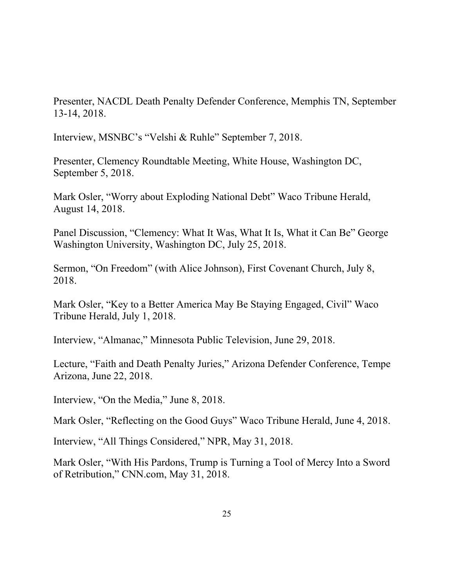Presenter, NACDL Death Penalty Defender Conference, Memphis TN, September 13-14, 2018.

Interview, MSNBC's "Velshi & Ruhle" September 7, 2018.

Presenter, Clemency Roundtable Meeting, White House, Washington DC, September 5, 2018.

Mark Osler, "Worry about Exploding National Debt" Waco Tribune Herald, August 14, 2018.

Panel Discussion, "Clemency: What It Was, What It Is, What it Can Be" George Washington University, Washington DC, July 25, 2018.

Sermon, "On Freedom" (with Alice Johnson), First Covenant Church, July 8, 2018.

Mark Osler, "Key to a Better America May Be Staying Engaged, Civil" Waco Tribune Herald, July 1, 2018.

Interview, "Almanac," Minnesota Public Television, June 29, 2018.

Lecture, "Faith and Death Penalty Juries," Arizona Defender Conference, Tempe Arizona, June 22, 2018.

Interview, "On the Media," June 8, 2018.

Mark Osler, "Reflecting on the Good Guys" Waco Tribune Herald, June 4, 2018.

Interview, "All Things Considered," NPR, May 31, 2018.

Mark Osler, "With His Pardons, Trump is Turning a Tool of Mercy Into a Sword of Retribution," CNN.com, May 31, 2018.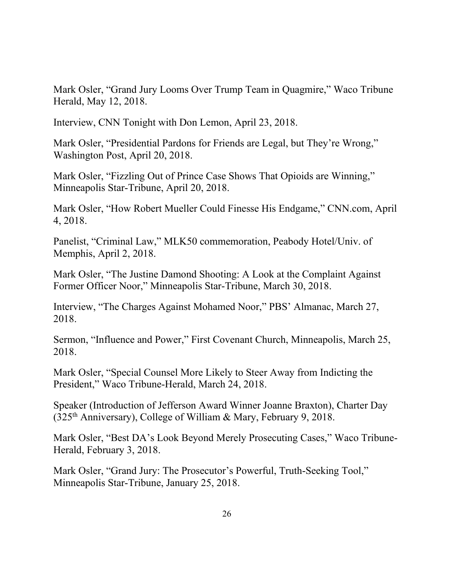Mark Osler, "Grand Jury Looms Over Trump Team in Quagmire," Waco Tribune Herald, May 12, 2018.

Interview, CNN Tonight with Don Lemon, April 23, 2018.

Mark Osler, "Presidential Pardons for Friends are Legal, but They're Wrong," Washington Post, April 20, 2018.

Mark Osler, "Fizzling Out of Prince Case Shows That Opioids are Winning," Minneapolis Star-Tribune, April 20, 2018.

Mark Osler, "How Robert Mueller Could Finesse His Endgame," CNN.com, April 4, 2018.

Panelist, "Criminal Law," MLK50 commemoration, Peabody Hotel/Univ. of Memphis, April 2, 2018.

Mark Osler, "The Justine Damond Shooting: A Look at the Complaint Against Former Officer Noor," Minneapolis Star-Tribune, March 30, 2018.

Interview, "The Charges Against Mohamed Noor," PBS' Almanac, March 27, 2018.

Sermon, "Influence and Power," First Covenant Church, Minneapolis, March 25, 2018.

Mark Osler, "Special Counsel More Likely to Steer Away from Indicting the President," Waco Tribune-Herald, March 24, 2018.

Speaker (Introduction of Jefferson Award Winner Joanne Braxton), Charter Day  $(325<sup>th</sup>$  Anniversary), College of William & Mary, February 9, 2018.

Mark Osler, "Best DA's Look Beyond Merely Prosecuting Cases," Waco Tribune-Herald, February 3, 2018.

Mark Osler, "Grand Jury: The Prosecutor's Powerful, Truth-Seeking Tool," Minneapolis Star-Tribune, January 25, 2018.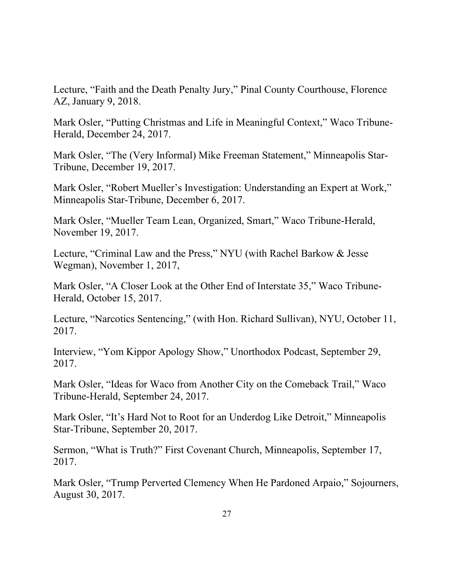Lecture, "Faith and the Death Penalty Jury," Pinal County Courthouse, Florence AZ, January 9, 2018.

Mark Osler, "Putting Christmas and Life in Meaningful Context," Waco Tribune-Herald, December 24, 2017.

Mark Osler, "The (Very Informal) Mike Freeman Statement," Minneapolis Star-Tribune, December 19, 2017.

Mark Osler, "Robert Mueller's Investigation: Understanding an Expert at Work," Minneapolis Star-Tribune, December 6, 2017.

Mark Osler, "Mueller Team Lean, Organized, Smart," Waco Tribune-Herald, November 19, 2017.

Lecture, "Criminal Law and the Press," NYU (with Rachel Barkow & Jesse Wegman), November 1, 2017,

Mark Osler, "A Closer Look at the Other End of Interstate 35," Waco Tribune-Herald, October 15, 2017.

Lecture, "Narcotics Sentencing," (with Hon. Richard Sullivan), NYU, October 11, 2017.

Interview, "Yom Kippor Apology Show," Unorthodox Podcast, September 29, 2017.

Mark Osler, "Ideas for Waco from Another City on the Comeback Trail," Waco Tribune-Herald, September 24, 2017.

Mark Osler, "It's Hard Not to Root for an Underdog Like Detroit," Minneapolis Star-Tribune, September 20, 2017.

Sermon, "What is Truth?" First Covenant Church, Minneapolis, September 17, 2017.

Mark Osler, "Trump Perverted Clemency When He Pardoned Arpaio," Sojourners, August 30, 2017.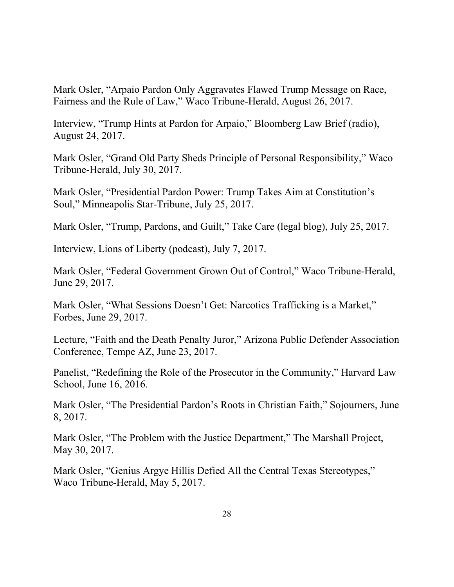Mark Osler, "Arpaio Pardon Only Aggravates Flawed Trump Message on Race, Fairness and the Rule of Law," Waco Tribune-Herald, August 26, 2017.

Interview, "Trump Hints at Pardon for Arpaio," Bloomberg Law Brief (radio), August 24, 2017.

Mark Osler, "Grand Old Party Sheds Principle of Personal Responsibility," Waco Tribune-Herald, July 30, 2017.

Mark Osler, "Presidential Pardon Power: Trump Takes Aim at Constitution's Soul," Minneapolis Star-Tribune, July 25, 2017.

Mark Osler, "Trump, Pardons, and Guilt," Take Care (legal blog), July 25, 2017.

Interview, Lions of Liberty (podcast), July 7, 2017.

Mark Osler, "Federal Government Grown Out of Control," Waco Tribune-Herald, June 29, 2017.

Mark Osler, "What Sessions Doesn't Get: Narcotics Trafficking is a Market," Forbes, June 29, 2017.

Lecture, "Faith and the Death Penalty Juror," Arizona Public Defender Association Conference, Tempe AZ, June 23, 2017.

Panelist, "Redefining the Role of the Prosecutor in the Community," Harvard Law School, June 16, 2016.

Mark Osler, "The Presidential Pardon's Roots in Christian Faith," Sojourners, June 8, 2017.

Mark Osler, "The Problem with the Justice Department," The Marshall Project, May 30, 2017.

Mark Osler, "Genius Argye Hillis Defied All the Central Texas Stereotypes," Waco Tribune-Herald, May 5, 2017.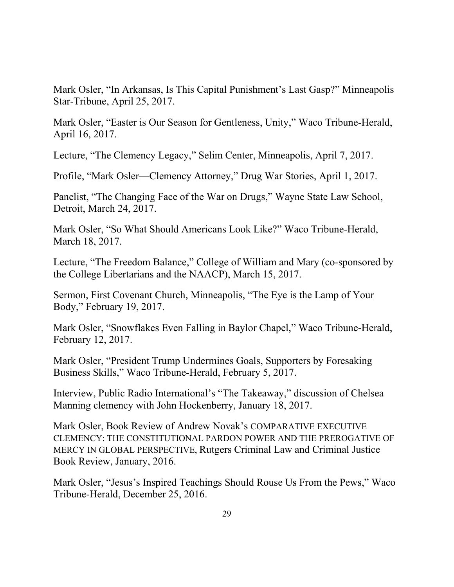Mark Osler, "In Arkansas, Is This Capital Punishment's Last Gasp?" Minneapolis Star-Tribune, April 25, 2017.

Mark Osler, "Easter is Our Season for Gentleness, Unity," Waco Tribune-Herald, April 16, 2017.

Lecture, "The Clemency Legacy," Selim Center, Minneapolis, April 7, 2017.

Profile, "Mark Osler—Clemency Attorney," Drug War Stories, April 1, 2017.

Panelist, "The Changing Face of the War on Drugs," Wayne State Law School, Detroit, March 24, 2017.

Mark Osler, "So What Should Americans Look Like?" Waco Tribune-Herald, March 18, 2017.

Lecture, "The Freedom Balance," College of William and Mary (co-sponsored by the College Libertarians and the NAACP), March 15, 2017.

Sermon, First Covenant Church, Minneapolis, "The Eye is the Lamp of Your Body," February 19, 2017.

Mark Osler, "Snowflakes Even Falling in Baylor Chapel," Waco Tribune-Herald, February 12, 2017.

Mark Osler, "President Trump Undermines Goals, Supporters by Foresaking Business Skills," Waco Tribune-Herald, February 5, 2017.

Interview, Public Radio International's "The Takeaway," discussion of Chelsea Manning clemency with John Hockenberry, January 18, 2017.

Mark Osler, Book Review of Andrew Novak's COMPARATIVE EXECUTIVE CLEMENCY: THE CONSTITUTIONAL PARDON POWER AND THE PREROGATIVE OF MERCY IN GLOBAL PERSPECTIVE, Rutgers Criminal Law and Criminal Justice Book Review, January, 2016.

Mark Osler, "Jesus's Inspired Teachings Should Rouse Us From the Pews," Waco Tribune-Herald, December 25, 2016.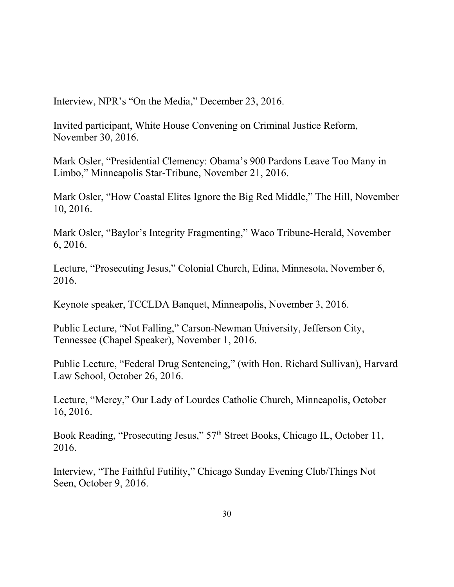Interview, NPR's "On the Media," December 23, 2016.

Invited participant, White House Convening on Criminal Justice Reform, November 30, 2016.

Mark Osler, "Presidential Clemency: Obama's 900 Pardons Leave Too Many in Limbo," Minneapolis Star-Tribune, November 21, 2016.

Mark Osler, "How Coastal Elites Ignore the Big Red Middle," The Hill, November 10, 2016.

Mark Osler, "Baylor's Integrity Fragmenting," Waco Tribune-Herald, November 6, 2016.

Lecture, "Prosecuting Jesus," Colonial Church, Edina, Minnesota, November 6, 2016.

Keynote speaker, TCCLDA Banquet, Minneapolis, November 3, 2016.

Public Lecture, "Not Falling," Carson-Newman University, Jefferson City, Tennessee (Chapel Speaker), November 1, 2016.

Public Lecture, "Federal Drug Sentencing," (with Hon. Richard Sullivan), Harvard Law School, October 26, 2016.

Lecture, "Mercy," Our Lady of Lourdes Catholic Church, Minneapolis, October 16, 2016.

Book Reading, "Prosecuting Jesus," 57<sup>th</sup> Street Books, Chicago IL, October 11, 2016.

Interview, "The Faithful Futility," Chicago Sunday Evening Club/Things Not Seen, October 9, 2016.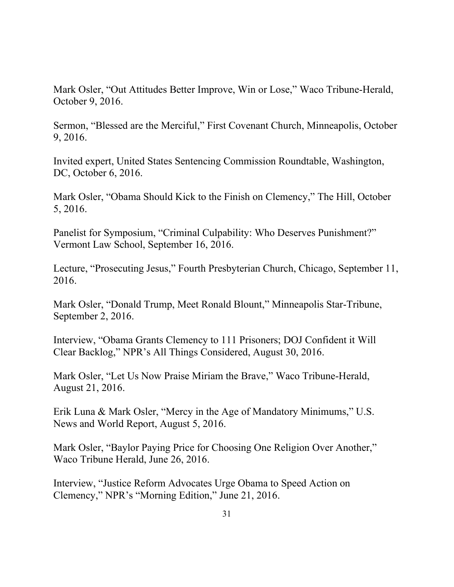Mark Osler, "Out Attitudes Better Improve, Win or Lose," Waco Tribune-Herald, October 9, 2016.

Sermon, "Blessed are the Merciful," First Covenant Church, Minneapolis, October 9, 2016.

Invited expert, United States Sentencing Commission Roundtable, Washington, DC, October 6, 2016.

Mark Osler, "Obama Should Kick to the Finish on Clemency," The Hill, October 5, 2016.

Panelist for Symposium, "Criminal Culpability: Who Deserves Punishment?" Vermont Law School, September 16, 2016.

Lecture, "Prosecuting Jesus," Fourth Presbyterian Church, Chicago, September 11, 2016.

Mark Osler, "Donald Trump, Meet Ronald Blount," Minneapolis Star-Tribune, September 2, 2016.

Interview, "Obama Grants Clemency to 111 Prisoners; DOJ Confident it Will Clear Backlog," NPR's All Things Considered, August 30, 2016.

Mark Osler, "Let Us Now Praise Miriam the Brave," Waco Tribune-Herald, August 21, 2016.

Erik Luna & Mark Osler, "Mercy in the Age of Mandatory Minimums," U.S. News and World Report, August 5, 2016.

Mark Osler, "Baylor Paying Price for Choosing One Religion Over Another," Waco Tribune Herald, June 26, 2016.

Interview, "Justice Reform Advocates Urge Obama to Speed Action on Clemency," NPR's "Morning Edition," June 21, 2016.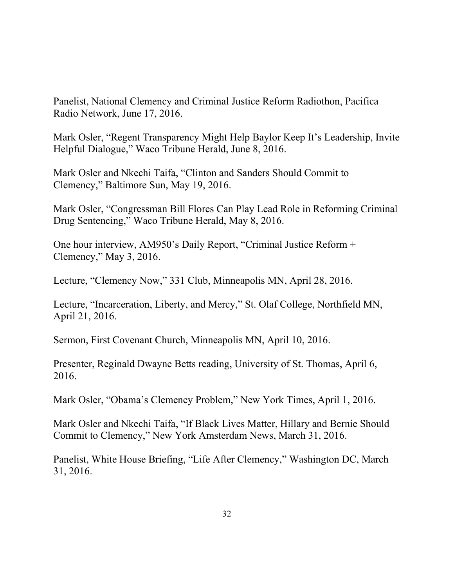Panelist, National Clemency and Criminal Justice Reform Radiothon, Pacifica Radio Network, June 17, 2016.

Mark Osler, "Regent Transparency Might Help Baylor Keep It's Leadership, Invite Helpful Dialogue," Waco Tribune Herald, June 8, 2016.

Mark Osler and Nkechi Taifa, "Clinton and Sanders Should Commit to Clemency," Baltimore Sun, May 19, 2016.

Mark Osler, "Congressman Bill Flores Can Play Lead Role in Reforming Criminal Drug Sentencing," Waco Tribune Herald, May 8, 2016.

One hour interview, AM950's Daily Report, "Criminal Justice Reform + Clemency," May 3, 2016.

Lecture, "Clemency Now," 331 Club, Minneapolis MN, April 28, 2016.

Lecture, "Incarceration, Liberty, and Mercy," St. Olaf College, Northfield MN, April 21, 2016.

Sermon, First Covenant Church, Minneapolis MN, April 10, 2016.

Presenter, Reginald Dwayne Betts reading, University of St. Thomas, April 6, 2016.

Mark Osler, "Obama's Clemency Problem," New York Times, April 1, 2016.

Mark Osler and Nkechi Taifa, "If Black Lives Matter, Hillary and Bernie Should Commit to Clemency," New York Amsterdam News, March 31, 2016.

Panelist, White House Briefing, "Life After Clemency," Washington DC, March 31, 2016.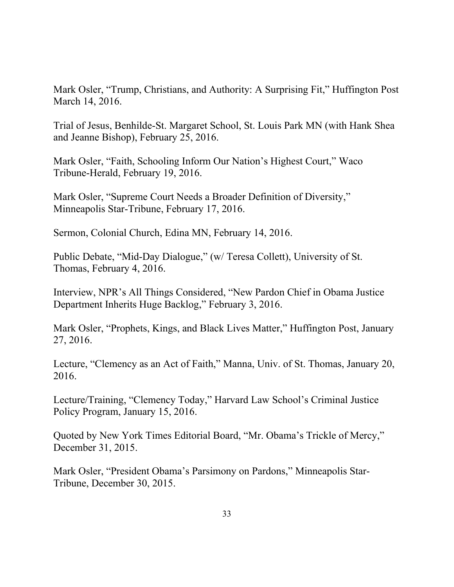Mark Osler, "Trump, Christians, and Authority: A Surprising Fit," Huffington Post March 14, 2016.

Trial of Jesus, Benhilde-St. Margaret School, St. Louis Park MN (with Hank Shea and Jeanne Bishop), February 25, 2016.

Mark Osler, "Faith, Schooling Inform Our Nation's Highest Court," Waco Tribune-Herald, February 19, 2016.

Mark Osler, "Supreme Court Needs a Broader Definition of Diversity," Minneapolis Star-Tribune, February 17, 2016.

Sermon, Colonial Church, Edina MN, February 14, 2016.

Public Debate, "Mid-Day Dialogue," (w/ Teresa Collett), University of St. Thomas, February 4, 2016.

Interview, NPR's All Things Considered, "New Pardon Chief in Obama Justice Department Inherits Huge Backlog," February 3, 2016.

Mark Osler, "Prophets, Kings, and Black Lives Matter," Huffington Post, January 27, 2016.

Lecture, "Clemency as an Act of Faith," Manna, Univ. of St. Thomas, January 20, 2016.

Lecture/Training, "Clemency Today," Harvard Law School's Criminal Justice Policy Program, January 15, 2016.

Quoted by New York Times Editorial Board, "Mr. Obama's Trickle of Mercy," December 31, 2015.

Mark Osler, "President Obama's Parsimony on Pardons," Minneapolis Star-Tribune, December 30, 2015.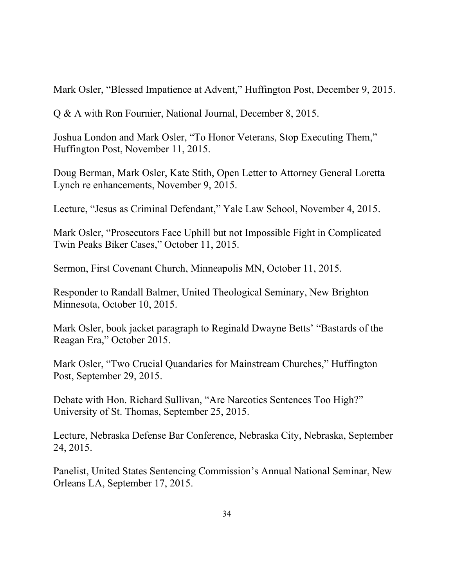Mark Osler, "Blessed Impatience at Advent," Huffington Post, December 9, 2015.

Q & A with Ron Fournier, National Journal, December 8, 2015.

Joshua London and Mark Osler, "To Honor Veterans, Stop Executing Them," Huffington Post, November 11, 2015.

Doug Berman, Mark Osler, Kate Stith, Open Letter to Attorney General Loretta Lynch re enhancements, November 9, 2015.

Lecture, "Jesus as Criminal Defendant," Yale Law School, November 4, 2015.

Mark Osler, "Prosecutors Face Uphill but not Impossible Fight in Complicated Twin Peaks Biker Cases," October 11, 2015.

Sermon, First Covenant Church, Minneapolis MN, October 11, 2015.

Responder to Randall Balmer, United Theological Seminary, New Brighton Minnesota, October 10, 2015.

Mark Osler, book jacket paragraph to Reginald Dwayne Betts' "Bastards of the Reagan Era," October 2015.

Mark Osler, "Two Crucial Quandaries for Mainstream Churches," Huffington Post, September 29, 2015.

Debate with Hon. Richard Sullivan, "Are Narcotics Sentences Too High?" University of St. Thomas, September 25, 2015.

Lecture, Nebraska Defense Bar Conference, Nebraska City, Nebraska, September 24, 2015.

Panelist, United States Sentencing Commission's Annual National Seminar, New Orleans LA, September 17, 2015.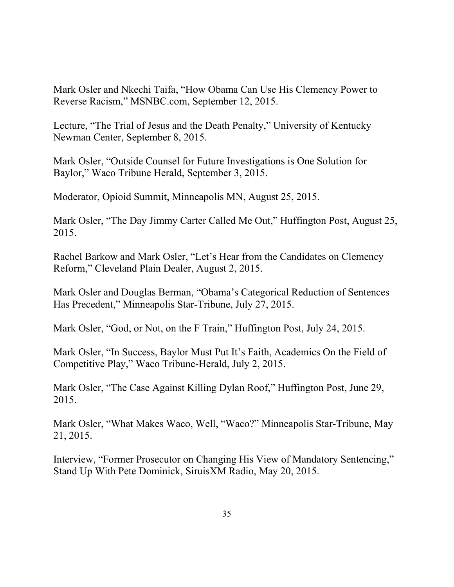Mark Osler and Nkechi Taifa, "How Obama Can Use His Clemency Power to Reverse Racism," MSNBC.com, September 12, 2015.

Lecture, "The Trial of Jesus and the Death Penalty," University of Kentucky Newman Center, September 8, 2015.

Mark Osler, "Outside Counsel for Future Investigations is One Solution for Baylor," Waco Tribune Herald, September 3, 2015.

Moderator, Opioid Summit, Minneapolis MN, August 25, 2015.

Mark Osler, "The Day Jimmy Carter Called Me Out," Huffington Post, August 25, 2015.

Rachel Barkow and Mark Osler, "Let's Hear from the Candidates on Clemency Reform," Cleveland Plain Dealer, August 2, 2015.

Mark Osler and Douglas Berman, "Obama's Categorical Reduction of Sentences Has Precedent," Minneapolis Star-Tribune, July 27, 2015.

Mark Osler, "God, or Not, on the F Train," Huffington Post, July 24, 2015.

Mark Osler, "In Success, Baylor Must Put It's Faith, Academics On the Field of Competitive Play," Waco Tribune-Herald, July 2, 2015.

Mark Osler, "The Case Against Killing Dylan Roof," Huffington Post, June 29, 2015.

Mark Osler, "What Makes Waco, Well, "Waco?" Minneapolis Star-Tribune, May 21, 2015.

Interview, "Former Prosecutor on Changing His View of Mandatory Sentencing," Stand Up With Pete Dominick, SiruisXM Radio, May 20, 2015.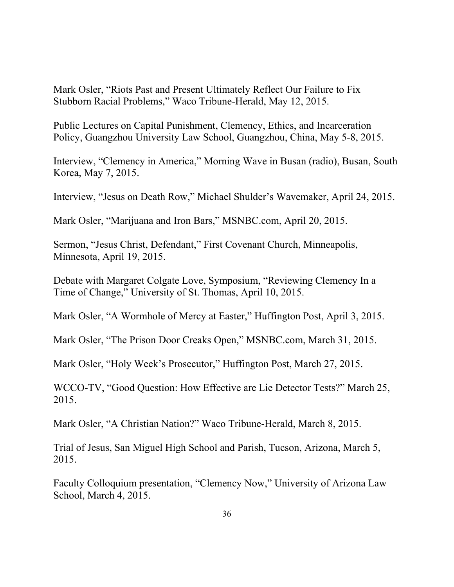Mark Osler, "Riots Past and Present Ultimately Reflect Our Failure to Fix Stubborn Racial Problems," Waco Tribune-Herald, May 12, 2015.

Public Lectures on Capital Punishment, Clemency, Ethics, and Incarceration Policy, Guangzhou University Law School, Guangzhou, China, May 5-8, 2015.

Interview, "Clemency in America," Morning Wave in Busan (radio), Busan, South Korea, May 7, 2015.

Interview, "Jesus on Death Row," Michael Shulder's Wavemaker, April 24, 2015.

Mark Osler, "Marijuana and Iron Bars," MSNBC.com, April 20, 2015.

Sermon, "Jesus Christ, Defendant," First Covenant Church, Minneapolis, Minnesota, April 19, 2015.

Debate with Margaret Colgate Love, Symposium, "Reviewing Clemency In a Time of Change," University of St. Thomas, April 10, 2015.

Mark Osler, "A Wormhole of Mercy at Easter," Huffington Post, April 3, 2015.

Mark Osler, "The Prison Door Creaks Open," MSNBC.com, March 31, 2015.

Mark Osler, "Holy Week's Prosecutor," Huffington Post, March 27, 2015.

WCCO-TV, "Good Question: How Effective are Lie Detector Tests?" March 25, 2015.

Mark Osler, "A Christian Nation?" Waco Tribune-Herald, March 8, 2015.

Trial of Jesus, San Miguel High School and Parish, Tucson, Arizona, March 5, 2015.

Faculty Colloquium presentation, "Clemency Now," University of Arizona Law School, March 4, 2015.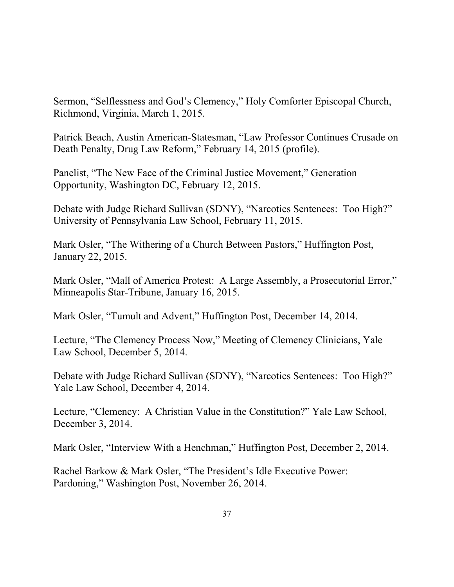Sermon, "Selflessness and God's Clemency," Holy Comforter Episcopal Church, Richmond, Virginia, March 1, 2015.

Patrick Beach, Austin American-Statesman, "Law Professor Continues Crusade on Death Penalty, Drug Law Reform," February 14, 2015 (profile).

Panelist, "The New Face of the Criminal Justice Movement," Generation Opportunity, Washington DC, February 12, 2015.

Debate with Judge Richard Sullivan (SDNY), "Narcotics Sentences: Too High?" University of Pennsylvania Law School, February 11, 2015.

Mark Osler, "The Withering of a Church Between Pastors," Huffington Post, January 22, 2015.

Mark Osler, "Mall of America Protest: A Large Assembly, a Prosecutorial Error," Minneapolis Star-Tribune, January 16, 2015.

Mark Osler, "Tumult and Advent," Huffington Post, December 14, 2014.

Lecture, "The Clemency Process Now," Meeting of Clemency Clinicians, Yale Law School, December 5, 2014.

Debate with Judge Richard Sullivan (SDNY), "Narcotics Sentences: Too High?" Yale Law School, December 4, 2014.

Lecture, "Clemency: A Christian Value in the Constitution?" Yale Law School, December 3, 2014.

Mark Osler, "Interview With a Henchman," Huffington Post, December 2, 2014.

Rachel Barkow & Mark Osler, "The President's Idle Executive Power: Pardoning," Washington Post, November 26, 2014.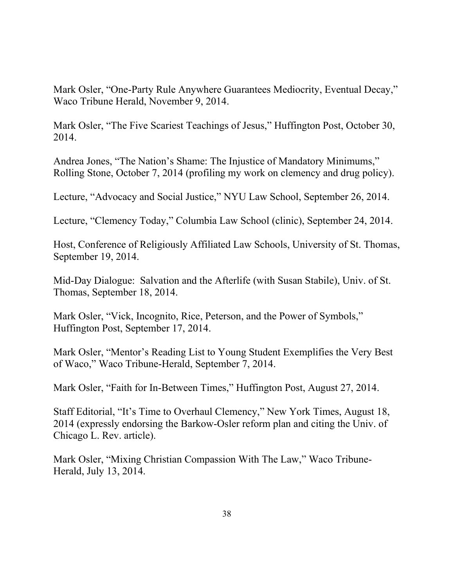Mark Osler, "One-Party Rule Anywhere Guarantees Mediocrity, Eventual Decay," Waco Tribune Herald, November 9, 2014.

Mark Osler, "The Five Scariest Teachings of Jesus," Huffington Post, October 30, 2014.

Andrea Jones, "The Nation's Shame: The Injustice of Mandatory Minimums," Rolling Stone, October 7, 2014 (profiling my work on clemency and drug policy).

Lecture, "Advocacy and Social Justice," NYU Law School, September 26, 2014.

Lecture, "Clemency Today," Columbia Law School (clinic), September 24, 2014.

Host, Conference of Religiously Affiliated Law Schools, University of St. Thomas, September 19, 2014.

Mid-Day Dialogue: Salvation and the Afterlife (with Susan Stabile), Univ. of St. Thomas, September 18, 2014.

Mark Osler, "Vick, Incognito, Rice, Peterson, and the Power of Symbols," Huffington Post, September 17, 2014.

Mark Osler, "Mentor's Reading List to Young Student Exemplifies the Very Best of Waco," Waco Tribune-Herald, September 7, 2014.

Mark Osler, "Faith for In-Between Times," Huffington Post, August 27, 2014.

Staff Editorial, "It's Time to Overhaul Clemency," New York Times, August 18, 2014 (expressly endorsing the Barkow-Osler reform plan and citing the Univ. of Chicago L. Rev. article).

Mark Osler, "Mixing Christian Compassion With The Law," Waco Tribune-Herald, July 13, 2014.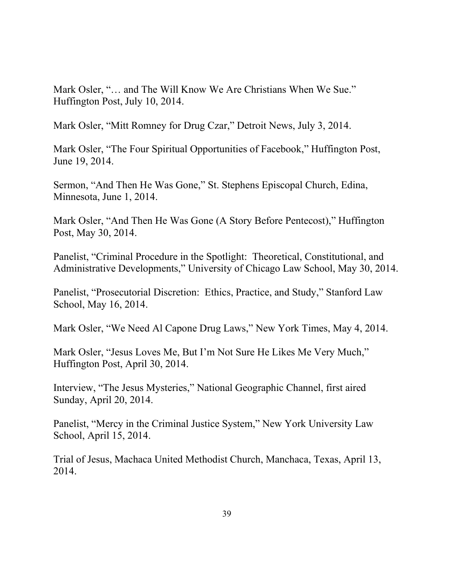Mark Osler, "… and The Will Know We Are Christians When We Sue." Huffington Post, July 10, 2014.

Mark Osler, "Mitt Romney for Drug Czar," Detroit News, July 3, 2014.

Mark Osler, "The Four Spiritual Opportunities of Facebook," Huffington Post, June 19, 2014.

Sermon, "And Then He Was Gone," St. Stephens Episcopal Church, Edina, Minnesota, June 1, 2014.

Mark Osler, "And Then He Was Gone (A Story Before Pentecost)," Huffington Post, May 30, 2014.

Panelist, "Criminal Procedure in the Spotlight: Theoretical, Constitutional, and Administrative Developments," University of Chicago Law School, May 30, 2014.

Panelist, "Prosecutorial Discretion: Ethics, Practice, and Study," Stanford Law School, May 16, 2014.

Mark Osler, "We Need Al Capone Drug Laws," New York Times, May 4, 2014.

Mark Osler, "Jesus Loves Me, But I'm Not Sure He Likes Me Very Much," Huffington Post, April 30, 2014.

Interview, "The Jesus Mysteries," National Geographic Channel, first aired Sunday, April 20, 2014.

Panelist, "Mercy in the Criminal Justice System," New York University Law School, April 15, 2014.

Trial of Jesus, Machaca United Methodist Church, Manchaca, Texas, April 13, 2014.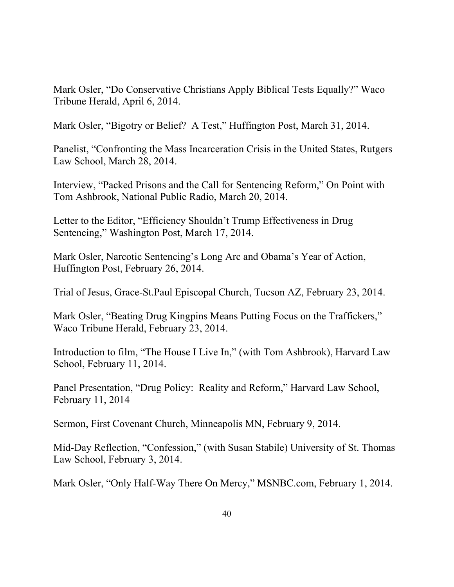Mark Osler, "Do Conservative Christians Apply Biblical Tests Equally?" Waco Tribune Herald, April 6, 2014.

Mark Osler, "Bigotry or Belief? A Test," Huffington Post, March 31, 2014.

Panelist, "Confronting the Mass Incarceration Crisis in the United States, Rutgers Law School, March 28, 2014.

Interview, "Packed Prisons and the Call for Sentencing Reform," On Point with Tom Ashbrook, National Public Radio, March 20, 2014.

Letter to the Editor, "Efficiency Shouldn't Trump Effectiveness in Drug Sentencing," Washington Post, March 17, 2014.

Mark Osler, Narcotic Sentencing's Long Arc and Obama's Year of Action, Huffington Post, February 26, 2014.

Trial of Jesus, Grace-St.Paul Episcopal Church, Tucson AZ, February 23, 2014.

Mark Osler, "Beating Drug Kingpins Means Putting Focus on the Traffickers," Waco Tribune Herald, February 23, 2014.

Introduction to film, "The House I Live In," (with Tom Ashbrook), Harvard Law School, February 11, 2014.

Panel Presentation, "Drug Policy: Reality and Reform," Harvard Law School, February 11, 2014

Sermon, First Covenant Church, Minneapolis MN, February 9, 2014.

Mid-Day Reflection, "Confession," (with Susan Stabile) University of St. Thomas Law School, February 3, 2014.

Mark Osler, "Only Half-Way There On Mercy," MSNBC.com, February 1, 2014.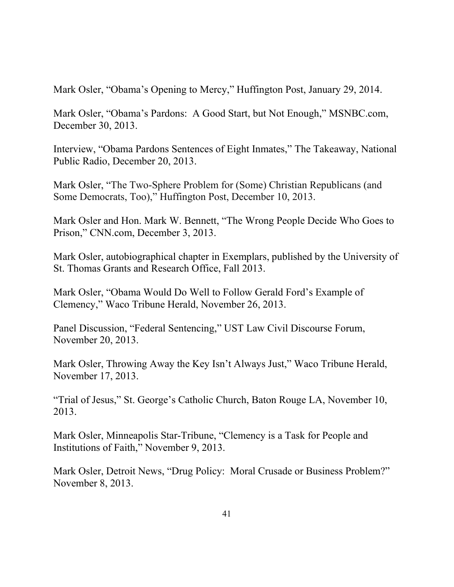Mark Osler, "Obama's Opening to Mercy," Huffington Post, January 29, 2014.

Mark Osler, "Obama's Pardons: A Good Start, but Not Enough," MSNBC.com, December 30, 2013.

Interview, "Obama Pardons Sentences of Eight Inmates," The Takeaway, National Public Radio, December 20, 2013.

Mark Osler, "The Two-Sphere Problem for (Some) Christian Republicans (and Some Democrats, Too)," Huffington Post, December 10, 2013.

Mark Osler and Hon. Mark W. Bennett, "The Wrong People Decide Who Goes to Prison," CNN.com, December 3, 2013.

Mark Osler, autobiographical chapter in Exemplars, published by the University of St. Thomas Grants and Research Office, Fall 2013.

Mark Osler, "Obama Would Do Well to Follow Gerald Ford's Example of Clemency," Waco Tribune Herald, November 26, 2013.

Panel Discussion, "Federal Sentencing," UST Law Civil Discourse Forum, November 20, 2013.

Mark Osler, Throwing Away the Key Isn't Always Just," Waco Tribune Herald, November 17, 2013.

"Trial of Jesus," St. George's Catholic Church, Baton Rouge LA, November 10, 2013.

Mark Osler, Minneapolis Star-Tribune, "Clemency is a Task for People and Institutions of Faith," November 9, 2013.

Mark Osler, Detroit News, "Drug Policy: Moral Crusade or Business Problem?" November 8, 2013.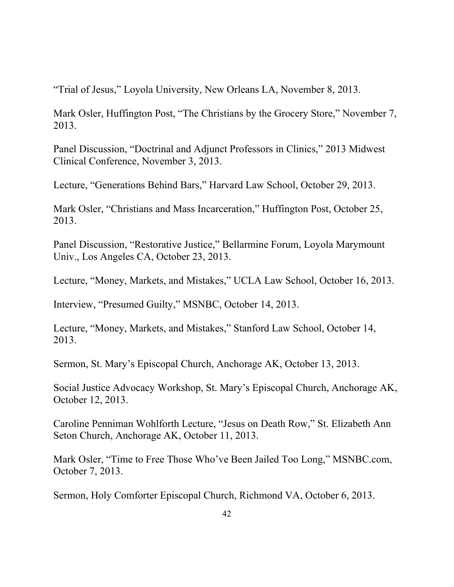"Trial of Jesus," Loyola University, New Orleans LA, November 8, 2013.

Mark Osler, Huffington Post, "The Christians by the Grocery Store," November 7, 2013.

Panel Discussion, "Doctrinal and Adjunct Professors in Clinics," 2013 Midwest Clinical Conference, November 3, 2013.

Lecture, "Generations Behind Bars," Harvard Law School, October 29, 2013.

Mark Osler, "Christians and Mass Incarceration," Huffington Post, October 25, 2013.

Panel Discussion, "Restorative Justice," Bellarmine Forum, Loyola Marymount Univ., Los Angeles CA, October 23, 2013.

Lecture, "Money, Markets, and Mistakes," UCLA Law School, October 16, 2013.

Interview, "Presumed Guilty," MSNBC, October 14, 2013.

Lecture, "Money, Markets, and Mistakes," Stanford Law School, October 14, 2013.

Sermon, St. Mary's Episcopal Church, Anchorage AK, October 13, 2013.

Social Justice Advocacy Workshop, St. Mary's Episcopal Church, Anchorage AK, October 12, 2013.

Caroline Penniman Wohlforth Lecture, "Jesus on Death Row," St. Elizabeth Ann Seton Church, Anchorage AK, October 11, 2013.

Mark Osler, "Time to Free Those Who've Been Jailed Too Long," MSNBC.com, October 7, 2013.

Sermon, Holy Comforter Episcopal Church, Richmond VA, October 6, 2013.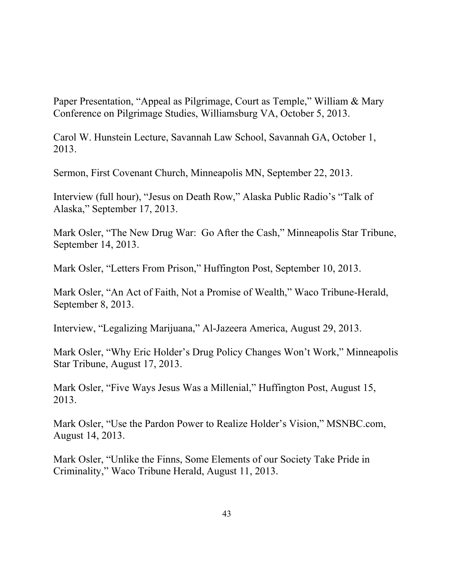Paper Presentation, "Appeal as Pilgrimage, Court as Temple," William & Mary Conference on Pilgrimage Studies, Williamsburg VA, October 5, 2013.

Carol W. Hunstein Lecture, Savannah Law School, Savannah GA, October 1, 2013.

Sermon, First Covenant Church, Minneapolis MN, September 22, 2013.

Interview (full hour), "Jesus on Death Row," Alaska Public Radio's "Talk of Alaska," September 17, 2013.

Mark Osler, "The New Drug War: Go After the Cash," Minneapolis Star Tribune, September 14, 2013.

Mark Osler, "Letters From Prison," Huffington Post, September 10, 2013.

Mark Osler, "An Act of Faith, Not a Promise of Wealth," Waco Tribune-Herald, September 8, 2013.

Interview, "Legalizing Marijuana," Al-Jazeera America, August 29, 2013.

Mark Osler, "Why Eric Holder's Drug Policy Changes Won't Work," Minneapolis Star Tribune, August 17, 2013.

Mark Osler, "Five Ways Jesus Was a Millenial," Huffington Post, August 15, 2013.

Mark Osler, "Use the Pardon Power to Realize Holder's Vision," MSNBC.com, August 14, 2013.

Mark Osler, "Unlike the Finns, Some Elements of our Society Take Pride in Criminality," Waco Tribune Herald, August 11, 2013.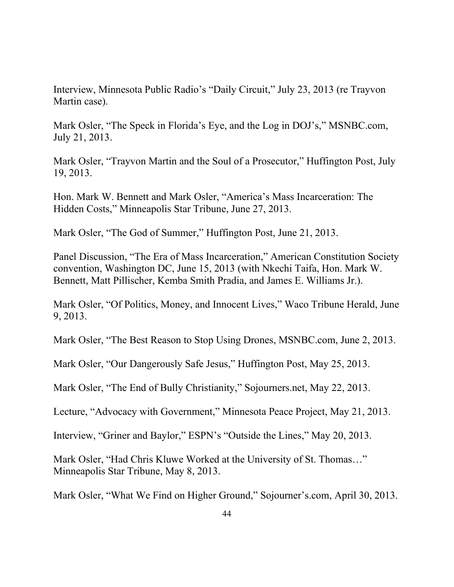Interview, Minnesota Public Radio's "Daily Circuit," July 23, 2013 (re Trayvon Martin case).

Mark Osler, "The Speck in Florida's Eye, and the Log in DOJ's," MSNBC.com, July 21, 2013.

Mark Osler, "Trayvon Martin and the Soul of a Prosecutor," Huffington Post, July 19, 2013.

Hon. Mark W. Bennett and Mark Osler, "America's Mass Incarceration: The Hidden Costs," Minneapolis Star Tribune, June 27, 2013.

Mark Osler, "The God of Summer," Huffington Post, June 21, 2013.

Panel Discussion, "The Era of Mass Incarceration," American Constitution Society convention, Washington DC, June 15, 2013 (with Nkechi Taifa, Hon. Mark W. Bennett, Matt Pillischer, Kemba Smith Pradia, and James E. Williams Jr.).

Mark Osler, "Of Politics, Money, and Innocent Lives," Waco Tribune Herald, June 9, 2013.

Mark Osler, "The Best Reason to Stop Using Drones, MSNBC.com, June 2, 2013.

Mark Osler, "Our Dangerously Safe Jesus," Huffington Post, May 25, 2013.

Mark Osler, "The End of Bully Christianity," Sojourners.net, May 22, 2013.

Lecture, "Advocacy with Government," Minnesota Peace Project, May 21, 2013.

Interview, "Griner and Baylor," ESPN's "Outside the Lines," May 20, 2013.

Mark Osler, "Had Chris Kluwe Worked at the University of St. Thomas…" Minneapolis Star Tribune, May 8, 2013.

Mark Osler, "What We Find on Higher Ground," Sojourner's.com, April 30, 2013.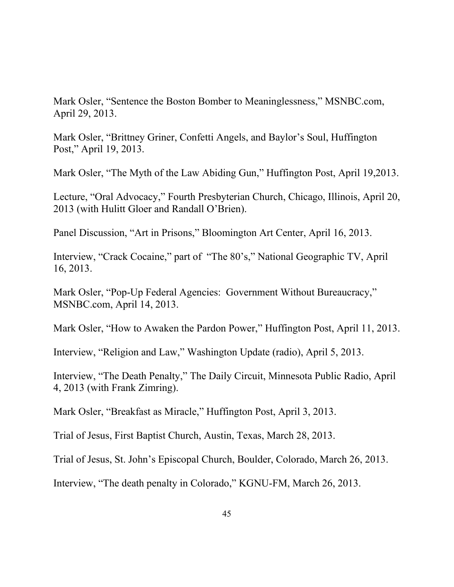Mark Osler, "Sentence the Boston Bomber to Meaninglessness," MSNBC.com, April 29, 2013.

Mark Osler, "Brittney Griner, Confetti Angels, and Baylor's Soul, Huffington Post," April 19, 2013.

Mark Osler, "The Myth of the Law Abiding Gun," Huffington Post, April 19,2013.

Lecture, "Oral Advocacy," Fourth Presbyterian Church, Chicago, Illinois, April 20, 2013 (with Hulitt Gloer and Randall O'Brien).

Panel Discussion, "Art in Prisons," Bloomington Art Center, April 16, 2013.

Interview, "Crack Cocaine," part of "The 80's," National Geographic TV, April 16, 2013.

Mark Osler, "Pop-Up Federal Agencies: Government Without Bureaucracy," MSNBC.com, April 14, 2013.

Mark Osler, "How to Awaken the Pardon Power," Huffington Post, April 11, 2013.

Interview, "Religion and Law," Washington Update (radio), April 5, 2013.

Interview, "The Death Penalty," The Daily Circuit, Minnesota Public Radio, April 4, 2013 (with Frank Zimring).

Mark Osler, "Breakfast as Miracle," Huffington Post, April 3, 2013.

Trial of Jesus, First Baptist Church, Austin, Texas, March 28, 2013.

Trial of Jesus, St. John's Episcopal Church, Boulder, Colorado, March 26, 2013.

Interview, "The death penalty in Colorado," KGNU-FM, March 26, 2013.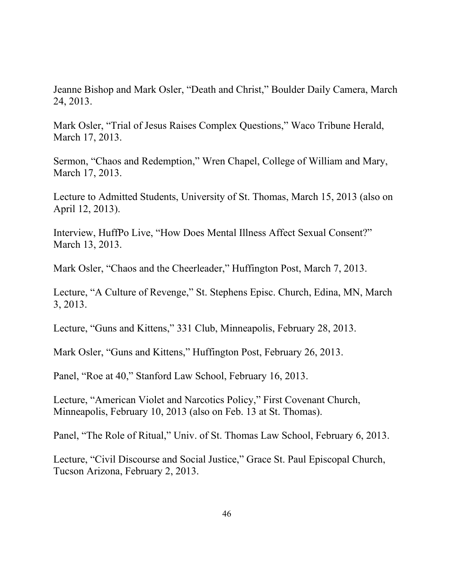Jeanne Bishop and Mark Osler, "Death and Christ," Boulder Daily Camera, March 24, 2013.

Mark Osler, "Trial of Jesus Raises Complex Questions," Waco Tribune Herald, March 17, 2013.

Sermon, "Chaos and Redemption," Wren Chapel, College of William and Mary, March 17, 2013.

Lecture to Admitted Students, University of St. Thomas, March 15, 2013 (also on April 12, 2013).

Interview, HuffPo Live, "How Does Mental Illness Affect Sexual Consent?" March 13, 2013.

Mark Osler, "Chaos and the Cheerleader," Huffington Post, March 7, 2013.

Lecture, "A Culture of Revenge," St. Stephens Episc. Church, Edina, MN, March 3, 2013.

Lecture, "Guns and Kittens," 331 Club, Minneapolis, February 28, 2013.

Mark Osler, "Guns and Kittens," Huffington Post, February 26, 2013.

Panel, "Roe at 40," Stanford Law School, February 16, 2013.

Lecture, "American Violet and Narcotics Policy," First Covenant Church, Minneapolis, February 10, 2013 (also on Feb. 13 at St. Thomas).

Panel, "The Role of Ritual," Univ. of St. Thomas Law School, February 6, 2013.

Lecture, "Civil Discourse and Social Justice," Grace St. Paul Episcopal Church, Tucson Arizona, February 2, 2013.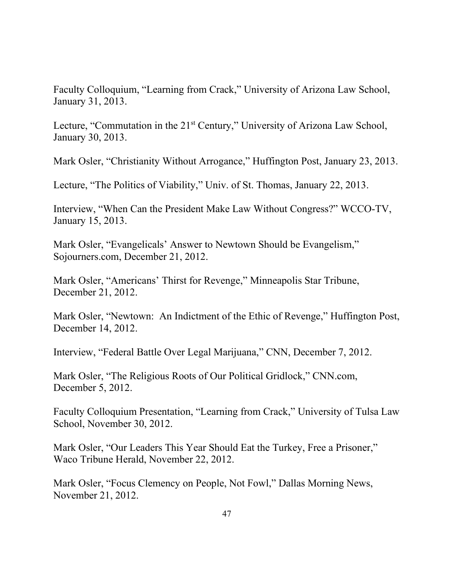Faculty Colloquium, "Learning from Crack," University of Arizona Law School, January 31, 2013.

Lecture, "Commutation in the 21<sup>st</sup> Century," University of Arizona Law School, January 30, 2013.

Mark Osler, "Christianity Without Arrogance," Huffington Post, January 23, 2013.

Lecture, "The Politics of Viability," Univ. of St. Thomas, January 22, 2013.

Interview, "When Can the President Make Law Without Congress?" WCCO-TV, January 15, 2013.

Mark Osler, "Evangelicals' Answer to Newtown Should be Evangelism," Sojourners.com, December 21, 2012.

Mark Osler, "Americans' Thirst for Revenge," Minneapolis Star Tribune, December 21, 2012.

Mark Osler, "Newtown: An Indictment of the Ethic of Revenge," Huffington Post, December 14, 2012.

Interview, "Federal Battle Over Legal Marijuana," CNN, December 7, 2012.

Mark Osler, "The Religious Roots of Our Political Gridlock," CNN.com, December 5, 2012.

Faculty Colloquium Presentation, "Learning from Crack," University of Tulsa Law School, November 30, 2012.

Mark Osler, "Our Leaders This Year Should Eat the Turkey, Free a Prisoner," Waco Tribune Herald, November 22, 2012.

Mark Osler, "Focus Clemency on People, Not Fowl," Dallas Morning News, November 21, 2012.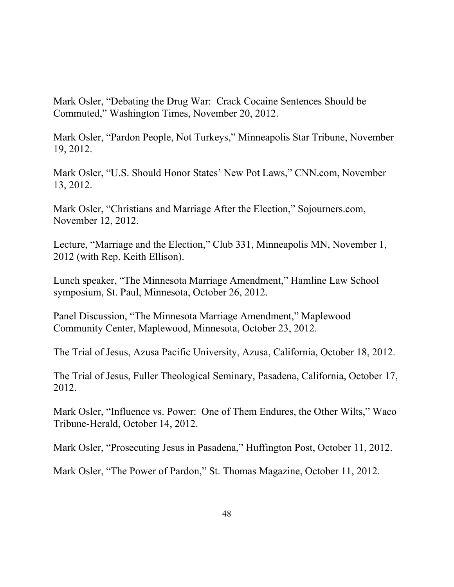Mark Osler, "Debating the Drug War: Crack Cocaine Sentences Should be Commuted," Washington Times, November 20, 2012.

Mark Osler, "Pardon People, Not Turkeys," Minneapolis Star Tribune, November 19, 2012.

Mark Osler, "U.S. Should Honor States' New Pot Laws," CNN.com, November 13, 2012.

Mark Osler, "Christians and Marriage After the Election," Sojourners.com, November 12, 2012.

Lecture, "Marriage and the Election," Club 331, Minneapolis MN, November 1, 2012 (with Rep. Keith Ellison).

Lunch speaker, "The Minnesota Marriage Amendment," Hamline Law School symposium, St. Paul, Minnesota, October 26, 2012.

Panel Discussion, "The Minnesota Marriage Amendment," Maplewood Community Center, Maplewood, Minnesota, October 23, 2012.

The Trial of Jesus, Azusa Pacific University, Azusa, California, October 18, 2012.

The Trial of Jesus, Fuller Theological Seminary, Pasadena, California, October 17, 2012.

Mark Osler, "Influence vs. Power: One of Them Endures, the Other Wilts," Waco Tribune-Herald, October 14, 2012.

Mark Osler, "Prosecuting Jesus in Pasadena," Huffington Post, October 11, 2012.

Mark Osler, "The Power of Pardon," St. Thomas Magazine, October 11, 2012.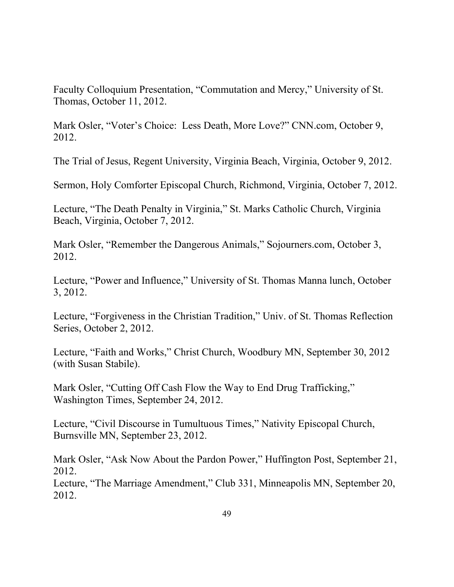Faculty Colloquium Presentation, "Commutation and Mercy," University of St. Thomas, October 11, 2012.

Mark Osler, "Voter's Choice: Less Death, More Love?" CNN.com, October 9, 2012.

The Trial of Jesus, Regent University, Virginia Beach, Virginia, October 9, 2012.

Sermon, Holy Comforter Episcopal Church, Richmond, Virginia, October 7, 2012.

Lecture, "The Death Penalty in Virginia," St. Marks Catholic Church, Virginia Beach, Virginia, October 7, 2012.

Mark Osler, "Remember the Dangerous Animals," Sojourners.com, October 3, 2012.

Lecture, "Power and Influence," University of St. Thomas Manna lunch, October 3, 2012.

Lecture, "Forgiveness in the Christian Tradition," Univ. of St. Thomas Reflection Series, October 2, 2012.

Lecture, "Faith and Works," Christ Church, Woodbury MN, September 30, 2012 (with Susan Stabile).

Mark Osler, "Cutting Off Cash Flow the Way to End Drug Trafficking," Washington Times, September 24, 2012.

Lecture, "Civil Discourse in Tumultuous Times," Nativity Episcopal Church, Burnsville MN, September 23, 2012.

Mark Osler, "Ask Now About the Pardon Power," Huffington Post, September 21, 2012.

Lecture, "The Marriage Amendment," Club 331, Minneapolis MN, September 20, 2012.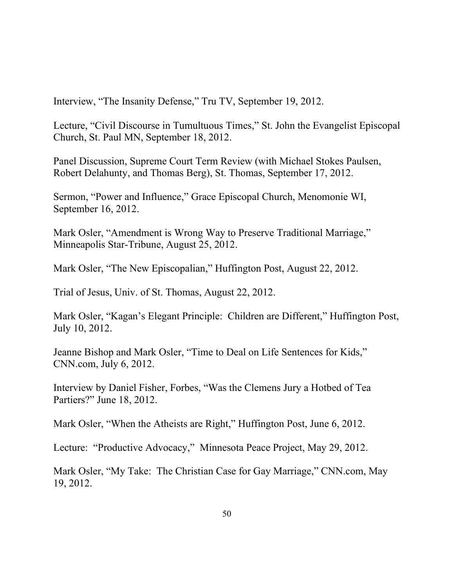Interview, "The Insanity Defense," Tru TV, September 19, 2012.

Lecture, "Civil Discourse in Tumultuous Times," St. John the Evangelist Episcopal Church, St. Paul MN, September 18, 2012.

Panel Discussion, Supreme Court Term Review (with Michael Stokes Paulsen, Robert Delahunty, and Thomas Berg), St. Thomas, September 17, 2012.

Sermon, "Power and Influence," Grace Episcopal Church, Menomonie WI, September 16, 2012.

Mark Osler, "Amendment is Wrong Way to Preserve Traditional Marriage," Minneapolis Star-Tribune, August 25, 2012.

Mark Osler, "The New Episcopalian," Huffington Post, August 22, 2012.

Trial of Jesus, Univ. of St. Thomas, August 22, 2012.

Mark Osler, "Kagan's Elegant Principle: Children are Different," Huffington Post, July 10, 2012.

Jeanne Bishop and Mark Osler, "Time to Deal on Life Sentences for Kids," CNN.com, July 6, 2012.

Interview by Daniel Fisher, Forbes, "Was the Clemens Jury a Hotbed of Tea Partiers?" June 18, 2012.

Mark Osler, "When the Atheists are Right," Huffington Post, June 6, 2012.

Lecture: "Productive Advocacy," Minnesota Peace Project, May 29, 2012.

Mark Osler, "My Take: The Christian Case for Gay Marriage," CNN.com, May 19, 2012.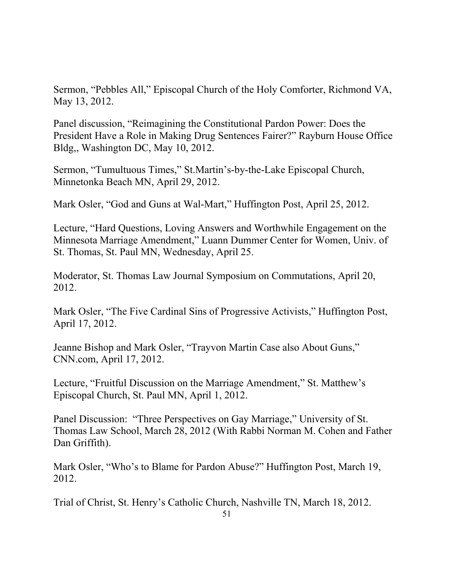Sermon, "Pebbles All," Episcopal Church of the Holy Comforter, Richmond VA, May 13, 2012.

Panel discussion, "Reimagining the Constitutional Pardon Power: Does the President Have a Role in Making Drug Sentences Fairer?" Rayburn House Office Bldg,, Washington DC, May 10, 2012.

Sermon, "Tumultuous Times," St.Martin's-by-the-Lake Episcopal Church, Minnetonka Beach MN, April 29, 2012.

Mark Osler, "God and Guns at Wal-Mart," Huffington Post, April 25, 2012.

Lecture, "Hard Questions, Loving Answers and Worthwhile Engagement on the Minnesota Marriage Amendment," Luann Dummer Center for Women, Univ. of St. Thomas, St. Paul MN, Wednesday, April 25.

Moderator, St. Thomas Law Journal Symposium on Commutations, April 20, 2012.

Mark Osler, "The Five Cardinal Sins of Progressive Activists," Huffington Post, April 17, 2012.

Jeanne Bishop and Mark Osler, "Trayvon Martin Case also About Guns," CNN.com, April 17, 2012.

Lecture, "Fruitful Discussion on the Marriage Amendment," St. Matthew's Episcopal Church, St. Paul MN, April 1, 2012.

Panel Discussion: "Three Perspectives on Gay Marriage," University of St. Thomas Law School, March 28, 2012 (With Rabbi Norman M. Cohen and Father Dan Griffith).

Mark Osler, "Who's to Blame for Pardon Abuse?" Huffington Post, March 19, 2012.

Trial of Christ, St. Henry's Catholic Church, Nashville TN, March 18, 2012.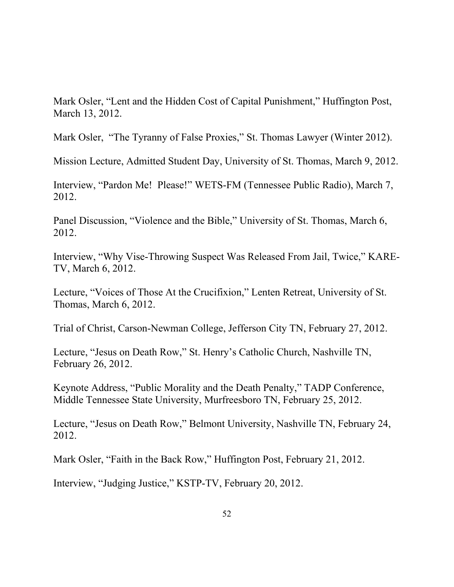Mark Osler, "Lent and the Hidden Cost of Capital Punishment," Huffington Post, March 13, 2012.

Mark Osler, "The Tyranny of False Proxies," St. Thomas Lawyer (Winter 2012).

Mission Lecture, Admitted Student Day, University of St. Thomas, March 9, 2012.

Interview, "Pardon Me! Please!" WETS-FM (Tennessee Public Radio), March 7, 2012.

Panel Discussion, "Violence and the Bible," University of St. Thomas, March 6, 2012.

Interview, "Why Vise-Throwing Suspect Was Released From Jail, Twice," KARE-TV, March 6, 2012.

Lecture, "Voices of Those At the Crucifixion," Lenten Retreat, University of St. Thomas, March 6, 2012.

Trial of Christ, Carson-Newman College, Jefferson City TN, February 27, 2012.

Lecture, "Jesus on Death Row," St. Henry's Catholic Church, Nashville TN, February 26, 2012.

Keynote Address, "Public Morality and the Death Penalty," TADP Conference, Middle Tennessee State University, Murfreesboro TN, February 25, 2012.

Lecture, "Jesus on Death Row," Belmont University, Nashville TN, February 24, 2012.

Mark Osler, "Faith in the Back Row," Huffington Post, February 21, 2012.

Interview, "Judging Justice," KSTP-TV, February 20, 2012.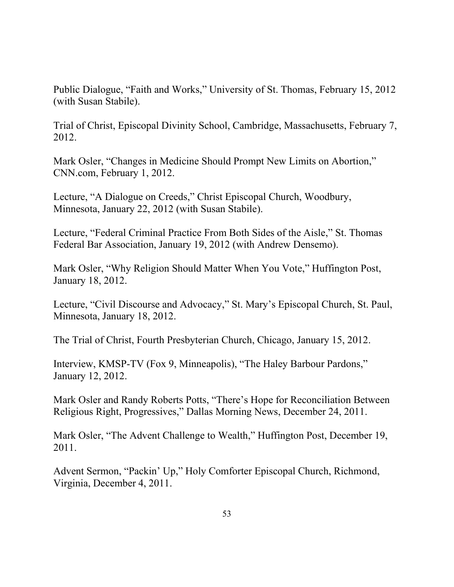Public Dialogue, "Faith and Works," University of St. Thomas, February 15, 2012 (with Susan Stabile).

Trial of Christ, Episcopal Divinity School, Cambridge, Massachusetts, February 7, 2012.

Mark Osler, "Changes in Medicine Should Prompt New Limits on Abortion," CNN.com, February 1, 2012.

Lecture, "A Dialogue on Creeds," Christ Episcopal Church, Woodbury, Minnesota, January 22, 2012 (with Susan Stabile).

Lecture, "Federal Criminal Practice From Both Sides of the Aisle," St. Thomas Federal Bar Association, January 19, 2012 (with Andrew Densemo).

Mark Osler, "Why Religion Should Matter When You Vote," Huffington Post, January 18, 2012.

Lecture, "Civil Discourse and Advocacy," St. Mary's Episcopal Church, St. Paul, Minnesota, January 18, 2012.

The Trial of Christ, Fourth Presbyterian Church, Chicago, January 15, 2012.

Interview, KMSP-TV (Fox 9, Minneapolis), "The Haley Barbour Pardons," January 12, 2012.

Mark Osler and Randy Roberts Potts, "There's Hope for Reconciliation Between Religious Right, Progressives," Dallas Morning News, December 24, 2011.

Mark Osler, "The Advent Challenge to Wealth," Huffington Post, December 19, 2011.

Advent Sermon, "Packin' Up," Holy Comforter Episcopal Church, Richmond, Virginia, December 4, 2011.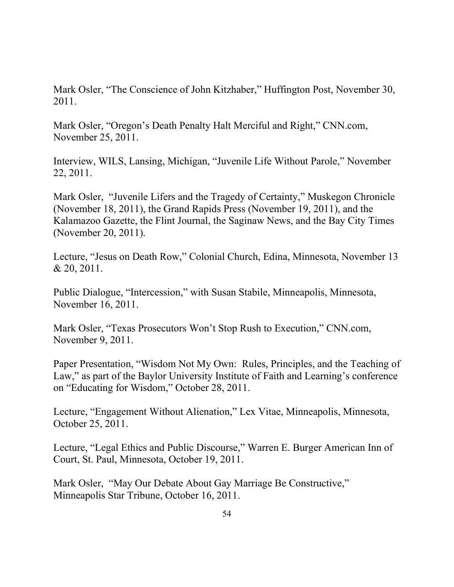Mark Osler, "The Conscience of John Kitzhaber," Huffington Post, November 30, 2011.

Mark Osler, "Oregon's Death Penalty Halt Merciful and Right," CNN.com, November 25, 2011.

Interview, WILS, Lansing, Michigan, "Juvenile Life Without Parole," November 22, 2011.

Mark Osler, "Juvenile Lifers and the Tragedy of Certainty," Muskegon Chronicle (November 18, 2011), the Grand Rapids Press (November 19, 2011), and the Kalamazoo Gazette, the Flint Journal, the Saginaw News, and the Bay City Times (November 20, 2011).

Lecture, "Jesus on Death Row," Colonial Church, Edina, Minnesota, November 13 & 20, 2011.

Public Dialogue, "Intercession," with Susan Stabile, Minneapolis, Minnesota, November 16, 2011.

Mark Osler, "Texas Prosecutors Won't Stop Rush to Execution," CNN.com, November 9, 2011.

Paper Presentation, "Wisdom Not My Own: Rules, Principles, and the Teaching of Law," as part of the Baylor University Institute of Faith and Learning's conference on "Educating for Wisdom," October 28, 2011.

Lecture, "Engagement Without Alienation," Lex Vitae, Minneapolis, Minnesota, October 25, 2011.

Lecture, "Legal Ethics and Public Discourse," Warren E. Burger American Inn of Court, St. Paul, Minnesota, October 19, 2011.

Mark Osler, "May Our Debate About Gay Marriage Be Constructive," Minneapolis Star Tribune, October 16, 2011.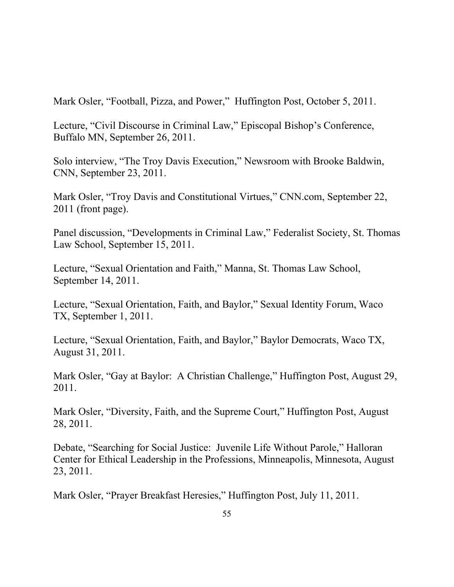Mark Osler, "Football, Pizza, and Power," Huffington Post, October 5, 2011.

Lecture, "Civil Discourse in Criminal Law," Episcopal Bishop's Conference, Buffalo MN, September 26, 2011.

Solo interview, "The Troy Davis Execution," Newsroom with Brooke Baldwin, CNN, September 23, 2011.

Mark Osler, "Troy Davis and Constitutional Virtues," CNN.com, September 22, 2011 (front page).

Panel discussion, "Developments in Criminal Law," Federalist Society, St. Thomas Law School, September 15, 2011.

Lecture, "Sexual Orientation and Faith," Manna, St. Thomas Law School, September 14, 2011.

Lecture, "Sexual Orientation, Faith, and Baylor," Sexual Identity Forum, Waco TX, September 1, 2011.

Lecture, "Sexual Orientation, Faith, and Baylor," Baylor Democrats, Waco TX, August 31, 2011.

Mark Osler, "Gay at Baylor: A Christian Challenge," Huffington Post, August 29, 2011.

Mark Osler, "Diversity, Faith, and the Supreme Court," Huffington Post, August 28, 2011.

Debate, "Searching for Social Justice: Juvenile Life Without Parole," Halloran Center for Ethical Leadership in the Professions, Minneapolis, Minnesota, August 23, 2011.

Mark Osler, "Prayer Breakfast Heresies," Huffington Post, July 11, 2011.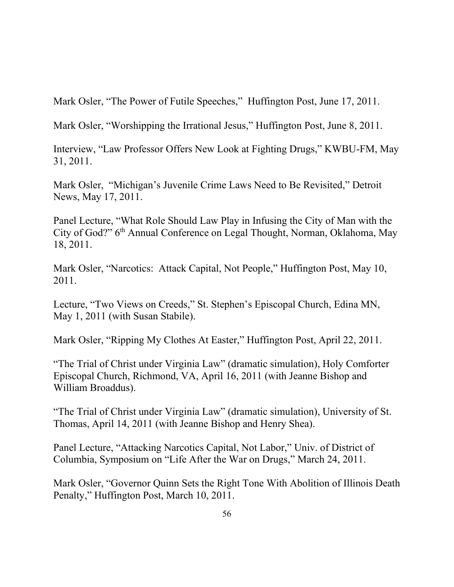Mark Osler, "The Power of Futile Speeches," Huffington Post, June 17, 2011.

Mark Osler, "Worshipping the Irrational Jesus," Huffington Post, June 8, 2011.

Interview, "Law Professor Offers New Look at Fighting Drugs," KWBU-FM, May 31, 2011.

Mark Osler, "Michigan's Juvenile Crime Laws Need to Be Revisited," Detroit News, May 17, 2011.

Panel Lecture, "What Role Should Law Play in Infusing the City of Man with the City of God?" 6<sup>th</sup> Annual Conference on Legal Thought, Norman, Oklahoma, May 18, 2011.

Mark Osler, "Narcotics: Attack Capital, Not People," Huffington Post, May 10, 2011.

Lecture, "Two Views on Creeds," St. Stephen's Episcopal Church, Edina MN, May 1, 2011 (with Susan Stabile).

Mark Osler, "Ripping My Clothes At Easter," Huffington Post, April 22, 2011.

"The Trial of Christ under Virginia Law" (dramatic simulation), Holy Comforter Episcopal Church, Richmond, VA, April 16, 2011 (with Jeanne Bishop and William Broaddus).

"The Trial of Christ under Virginia Law" (dramatic simulation), University of St. Thomas, April 14, 2011 (with Jeanne Bishop and Henry Shea).

Panel Lecture, "Attacking Narcotics Capital, Not Labor," Univ. of District of Columbia, Symposium on "Life After the War on Drugs," March 24, 2011.

Mark Osler, "Governor Quinn Sets the Right Tone With Abolition of Illinois Death Penalty," Huffington Post, March 10, 2011.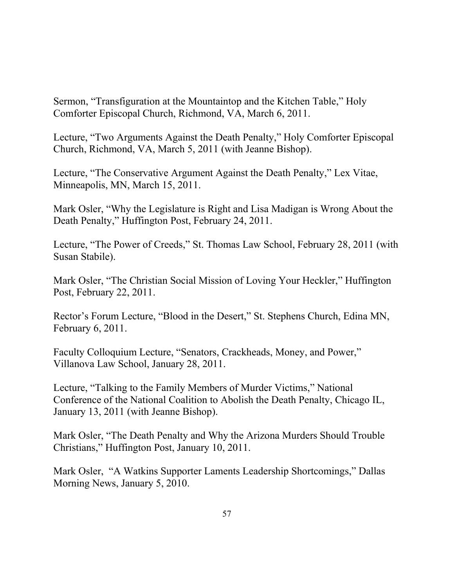Sermon, "Transfiguration at the Mountaintop and the Kitchen Table," Holy Comforter Episcopal Church, Richmond, VA, March 6, 2011.

Lecture, "Two Arguments Against the Death Penalty," Holy Comforter Episcopal Church, Richmond, VA, March 5, 2011 (with Jeanne Bishop).

Lecture, "The Conservative Argument Against the Death Penalty," Lex Vitae, Minneapolis, MN, March 15, 2011.

Mark Osler, "Why the Legislature is Right and Lisa Madigan is Wrong About the Death Penalty," Huffington Post, February 24, 2011.

Lecture, "The Power of Creeds," St. Thomas Law School, February 28, 2011 (with Susan Stabile).

Mark Osler, "The Christian Social Mission of Loving Your Heckler," Huffington Post, February 22, 2011.

Rector's Forum Lecture, "Blood in the Desert," St. Stephens Church, Edina MN, February 6, 2011.

Faculty Colloquium Lecture, "Senators, Crackheads, Money, and Power," Villanova Law School, January 28, 2011.

Lecture, "Talking to the Family Members of Murder Victims," National Conference of the National Coalition to Abolish the Death Penalty, Chicago IL, January 13, 2011 (with Jeanne Bishop).

Mark Osler, "The Death Penalty and Why the Arizona Murders Should Trouble Christians," Huffington Post, January 10, 2011.

Mark Osler, "A Watkins Supporter Laments Leadership Shortcomings," Dallas Morning News, January 5, 2010.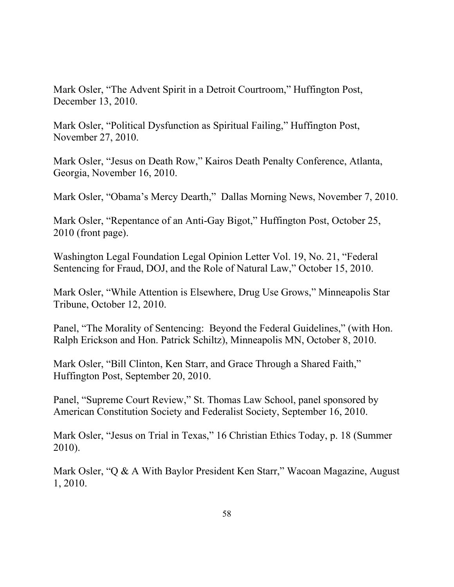Mark Osler, "The Advent Spirit in a Detroit Courtroom," Huffington Post, December 13, 2010.

Mark Osler, "Political Dysfunction as Spiritual Failing," Huffington Post, November 27, 2010.

Mark Osler, "Jesus on Death Row," Kairos Death Penalty Conference, Atlanta, Georgia, November 16, 2010.

Mark Osler, "Obama's Mercy Dearth," Dallas Morning News, November 7, 2010.

Mark Osler, "Repentance of an Anti-Gay Bigot," Huffington Post, October 25, 2010 (front page).

Washington Legal Foundation Legal Opinion Letter Vol. 19, No. 21, "Federal Sentencing for Fraud, DOJ, and the Role of Natural Law," October 15, 2010.

Mark Osler, "While Attention is Elsewhere, Drug Use Grows," Minneapolis Star Tribune, October 12, 2010.

Panel, "The Morality of Sentencing: Beyond the Federal Guidelines," (with Hon. Ralph Erickson and Hon. Patrick Schiltz), Minneapolis MN, October 8, 2010.

Mark Osler, "Bill Clinton, Ken Starr, and Grace Through a Shared Faith," Huffington Post, September 20, 2010.

Panel, "Supreme Court Review," St. Thomas Law School, panel sponsored by American Constitution Society and Federalist Society, September 16, 2010.

Mark Osler, "Jesus on Trial in Texas," 16 Christian Ethics Today, p. 18 (Summer 2010).

Mark Osler, "Q & A With Baylor President Ken Starr," Wacoan Magazine, August 1, 2010.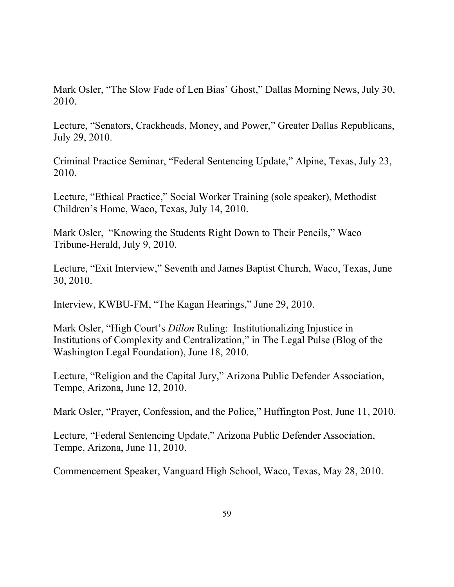Mark Osler, "The Slow Fade of Len Bias' Ghost," Dallas Morning News, July 30, 2010.

Lecture, "Senators, Crackheads, Money, and Power," Greater Dallas Republicans, July 29, 2010.

Criminal Practice Seminar, "Federal Sentencing Update," Alpine, Texas, July 23, 2010.

Lecture, "Ethical Practice," Social Worker Training (sole speaker), Methodist Children's Home, Waco, Texas, July 14, 2010.

Mark Osler, "Knowing the Students Right Down to Their Pencils," Waco Tribune-Herald, July 9, 2010.

Lecture, "Exit Interview," Seventh and James Baptist Church, Waco, Texas, June 30, 2010.

Interview, KWBU-FM, "The Kagan Hearings," June 29, 2010.

Mark Osler, "High Court's *Dillon* Ruling: Institutionalizing Injustice in Institutions of Complexity and Centralization," in The Legal Pulse (Blog of the Washington Legal Foundation), June 18, 2010.

Lecture, "Religion and the Capital Jury," Arizona Public Defender Association, Tempe, Arizona, June 12, 2010.

Mark Osler, "Prayer, Confession, and the Police," Huffington Post, June 11, 2010.

Lecture, "Federal Sentencing Update," Arizona Public Defender Association, Tempe, Arizona, June 11, 2010.

Commencement Speaker, Vanguard High School, Waco, Texas, May 28, 2010.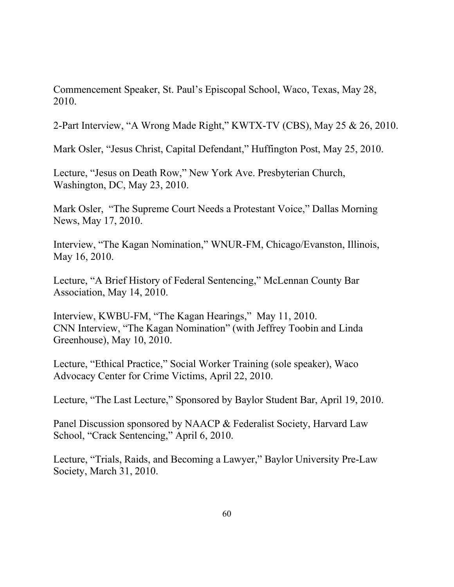Commencement Speaker, St. Paul's Episcopal School, Waco, Texas, May 28, 2010.

2-Part Interview, "A Wrong Made Right," KWTX-TV (CBS), May 25 & 26, 2010.

Mark Osler, "Jesus Christ, Capital Defendant," Huffington Post, May 25, 2010.

Lecture, "Jesus on Death Row," New York Ave. Presbyterian Church, Washington, DC, May 23, 2010.

Mark Osler, "The Supreme Court Needs a Protestant Voice," Dallas Morning News, May 17, 2010.

Interview, "The Kagan Nomination," WNUR-FM, Chicago/Evanston, Illinois, May 16, 2010.

Lecture, "A Brief History of Federal Sentencing," McLennan County Bar Association, May 14, 2010.

Interview, KWBU-FM, "The Kagan Hearings," May 11, 2010. CNN Interview, "The Kagan Nomination" (with Jeffrey Toobin and Linda Greenhouse), May 10, 2010.

Lecture, "Ethical Practice," Social Worker Training (sole speaker), Waco Advocacy Center for Crime Victims, April 22, 2010.

Lecture, "The Last Lecture," Sponsored by Baylor Student Bar, April 19, 2010.

Panel Discussion sponsored by NAACP & Federalist Society, Harvard Law School, "Crack Sentencing," April 6, 2010.

Lecture, "Trials, Raids, and Becoming a Lawyer," Baylor University Pre-Law Society, March 31, 2010.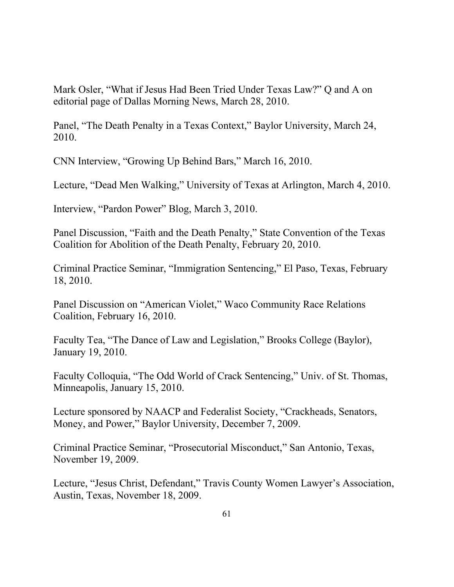Mark Osler, "What if Jesus Had Been Tried Under Texas Law?" Q and A on editorial page of Dallas Morning News, March 28, 2010.

Panel, "The Death Penalty in a Texas Context," Baylor University, March 24, 2010.

CNN Interview, "Growing Up Behind Bars," March 16, 2010.

Lecture, "Dead Men Walking," University of Texas at Arlington, March 4, 2010.

Interview, "Pardon Power" Blog, March 3, 2010.

Panel Discussion, "Faith and the Death Penalty," State Convention of the Texas Coalition for Abolition of the Death Penalty, February 20, 2010.

Criminal Practice Seminar, "Immigration Sentencing," El Paso, Texas, February 18, 2010.

Panel Discussion on "American Violet," Waco Community Race Relations Coalition, February 16, 2010.

Faculty Tea, "The Dance of Law and Legislation," Brooks College (Baylor), January 19, 2010.

Faculty Colloquia, "The Odd World of Crack Sentencing," Univ. of St. Thomas, Minneapolis, January 15, 2010.

Lecture sponsored by NAACP and Federalist Society, "Crackheads, Senators, Money, and Power," Baylor University, December 7, 2009.

Criminal Practice Seminar, "Prosecutorial Misconduct," San Antonio, Texas, November 19, 2009.

Lecture, "Jesus Christ, Defendant," Travis County Women Lawyer's Association, Austin, Texas, November 18, 2009.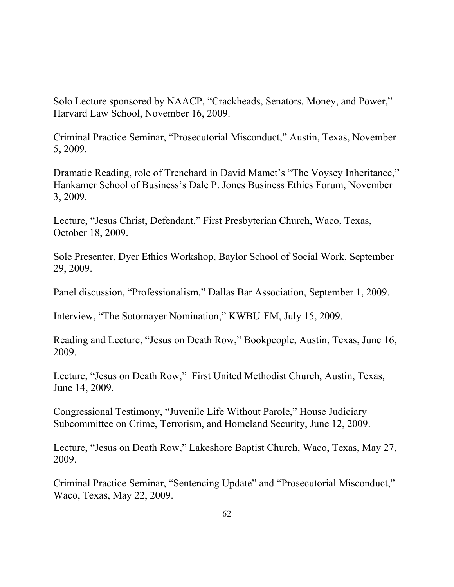Solo Lecture sponsored by NAACP, "Crackheads, Senators, Money, and Power," Harvard Law School, November 16, 2009.

Criminal Practice Seminar, "Prosecutorial Misconduct," Austin, Texas, November 5, 2009.

Dramatic Reading, role of Trenchard in David Mamet's "The Voysey Inheritance," Hankamer School of Business's Dale P. Jones Business Ethics Forum, November 3, 2009.

Lecture, "Jesus Christ, Defendant," First Presbyterian Church, Waco, Texas, October 18, 2009.

Sole Presenter, Dyer Ethics Workshop, Baylor School of Social Work, September 29, 2009.

Panel discussion, "Professionalism," Dallas Bar Association, September 1, 2009.

Interview, "The Sotomayer Nomination," KWBU-FM, July 15, 2009.

Reading and Lecture, "Jesus on Death Row," Bookpeople, Austin, Texas, June 16, 2009.

Lecture, "Jesus on Death Row," First United Methodist Church, Austin, Texas, June 14, 2009.

Congressional Testimony, "Juvenile Life Without Parole," House Judiciary Subcommittee on Crime, Terrorism, and Homeland Security, June 12, 2009.

Lecture, "Jesus on Death Row," Lakeshore Baptist Church, Waco, Texas, May 27, 2009.

Criminal Practice Seminar, "Sentencing Update" and "Prosecutorial Misconduct," Waco, Texas, May 22, 2009.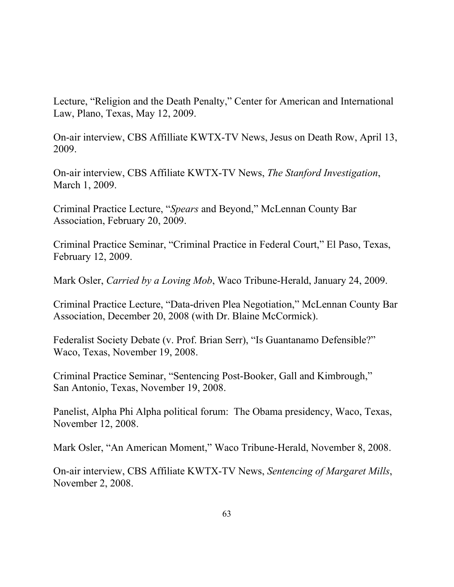Lecture, "Religion and the Death Penalty," Center for American and International Law, Plano, Texas, May 12, 2009.

On-air interview, CBS Affilliate KWTX-TV News, Jesus on Death Row, April 13, 2009.

On-air interview, CBS Affiliate KWTX-TV News, *The Stanford Investigation*, March 1, 2009.

Criminal Practice Lecture, "*Spears* and Beyond," McLennan County Bar Association, February 20, 2009.

Criminal Practice Seminar, "Criminal Practice in Federal Court," El Paso, Texas, February 12, 2009.

Mark Osler, *Carried by a Loving Mob*, Waco Tribune-Herald, January 24, 2009.

Criminal Practice Lecture, "Data-driven Plea Negotiation," McLennan County Bar Association, December 20, 2008 (with Dr. Blaine McCormick).

Federalist Society Debate (v. Prof. Brian Serr), "Is Guantanamo Defensible?" Waco, Texas, November 19, 2008.

Criminal Practice Seminar, "Sentencing Post-Booker, Gall and Kimbrough," San Antonio, Texas, November 19, 2008.

Panelist, Alpha Phi Alpha political forum: The Obama presidency, Waco, Texas, November 12, 2008.

Mark Osler, "An American Moment," Waco Tribune-Herald, November 8, 2008.

On-air interview, CBS Affiliate KWTX-TV News, *Sentencing of Margaret Mills*, November 2, 2008.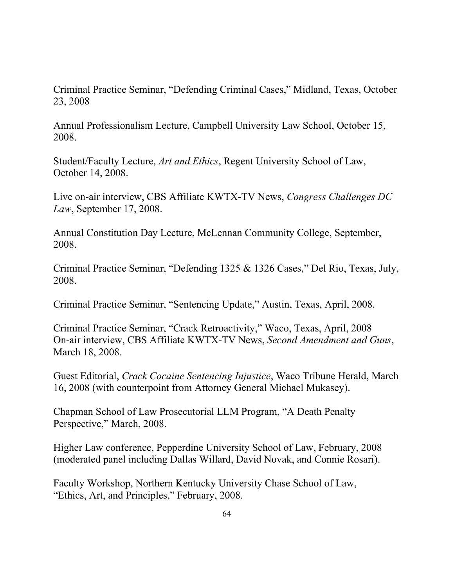Criminal Practice Seminar, "Defending Criminal Cases," Midland, Texas, October 23, 2008

Annual Professionalism Lecture, Campbell University Law School, October 15, 2008.

Student/Faculty Lecture, *Art and Ethics*, Regent University School of Law, October 14, 2008.

Live on-air interview, CBS Affiliate KWTX-TV News, *Congress Challenges DC Law*, September 17, 2008.

Annual Constitution Day Lecture, McLennan Community College, September, 2008.

Criminal Practice Seminar, "Defending 1325 & 1326 Cases," Del Rio, Texas, July, 2008.

Criminal Practice Seminar, "Sentencing Update," Austin, Texas, April, 2008.

Criminal Practice Seminar, "Crack Retroactivity," Waco, Texas, April, 2008 On-air interview, CBS Affiliate KWTX-TV News, *Second Amendment and Guns*, March 18, 2008.

Guest Editorial, *Crack Cocaine Sentencing Injustice*, Waco Tribune Herald, March 16, 2008 (with counterpoint from Attorney General Michael Mukasey).

Chapman School of Law Prosecutorial LLM Program, "A Death Penalty Perspective," March, 2008.

Higher Law conference, Pepperdine University School of Law, February, 2008 (moderated panel including Dallas Willard, David Novak, and Connie Rosari).

Faculty Workshop, Northern Kentucky University Chase School of Law, "Ethics, Art, and Principles," February, 2008.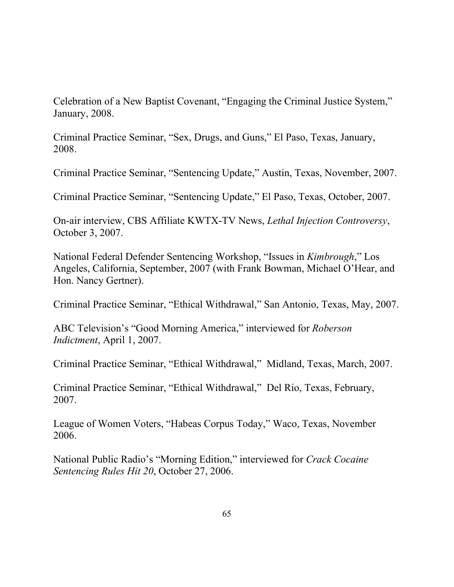Celebration of a New Baptist Covenant, "Engaging the Criminal Justice System," January, 2008.

Criminal Practice Seminar, "Sex, Drugs, and Guns," El Paso, Texas, January, 2008.

Criminal Practice Seminar, "Sentencing Update," Austin, Texas, November, 2007.

Criminal Practice Seminar, "Sentencing Update," El Paso, Texas, October, 2007.

On-air interview, CBS Affiliate KWTX-TV News, *Lethal Injection Controversy*, October 3, 2007.

National Federal Defender Sentencing Workshop, "Issues in *Kimbrough*," Los Angeles, California, September, 2007 (with Frank Bowman, Michael O'Hear, and Hon. Nancy Gertner).

Criminal Practice Seminar, "Ethical Withdrawal," San Antonio, Texas, May, 2007.

ABC Television's "Good Morning America," interviewed for *Roberson Indictment*, April 1, 2007.

Criminal Practice Seminar, "Ethical Withdrawal," Midland, Texas, March, 2007.

Criminal Practice Seminar, "Ethical Withdrawal," Del Rio, Texas, February, 2007.

League of Women Voters, "Habeas Corpus Today," Waco, Texas, November 2006.

National Public Radio's "Morning Edition," interviewed for *Crack Cocaine Sentencing Rules Hit 20*, October 27, 2006.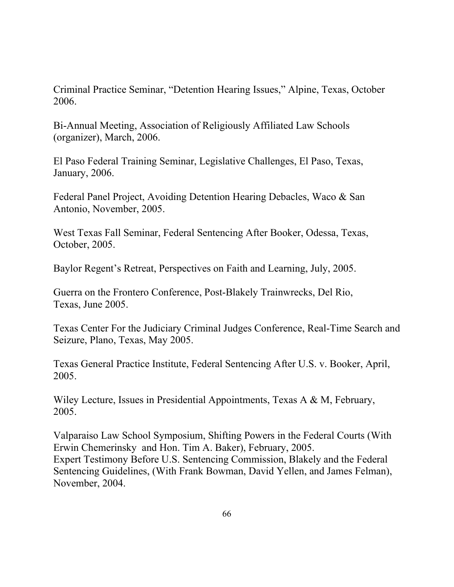Criminal Practice Seminar, "Detention Hearing Issues," Alpine, Texas, October 2006.

Bi-Annual Meeting, Association of Religiously Affiliated Law Schools (organizer), March, 2006.

El Paso Federal Training Seminar, Legislative Challenges, El Paso, Texas, January, 2006.

Federal Panel Project, Avoiding Detention Hearing Debacles, Waco & San Antonio, November, 2005.

West Texas Fall Seminar, Federal Sentencing After Booker, Odessa, Texas, October, 2005.

Baylor Regent's Retreat, Perspectives on Faith and Learning, July, 2005.

Guerra on the Frontero Conference, Post-Blakely Trainwrecks, Del Rio, Texas, June 2005.

Texas Center For the Judiciary Criminal Judges Conference, Real-Time Search and Seizure, Plano, Texas, May 2005.

Texas General Practice Institute, Federal Sentencing After U.S. v. Booker, April, 2005.

Wiley Lecture, Issues in Presidential Appointments, Texas A & M, February, 2005.

Valparaiso Law School Symposium, Shifting Powers in the Federal Courts (With Erwin Chemerinsky and Hon. Tim A. Baker), February, 2005. Expert Testimony Before U.S. Sentencing Commission, Blakely and the Federal Sentencing Guidelines, (With Frank Bowman, David Yellen, and James Felman), November, 2004.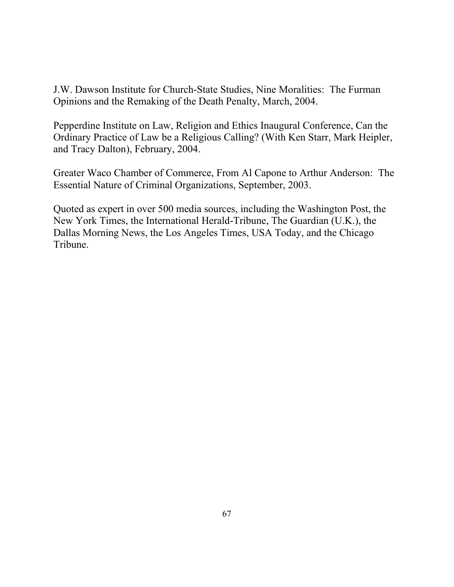J.W. Dawson Institute for Church-State Studies, Nine Moralities: The Furman Opinions and the Remaking of the Death Penalty, March, 2004.

Pepperdine Institute on Law, Religion and Ethics Inaugural Conference, Can the Ordinary Practice of Law be a Religious Calling? (With Ken Starr, Mark Heipler, and Tracy Dalton), February, 2004.

Greater Waco Chamber of Commerce, From Al Capone to Arthur Anderson: The Essential Nature of Criminal Organizations, September, 2003.

Quoted as expert in over 500 media sources, including the Washington Post, the New York Times, the International Herald-Tribune, The Guardian (U.K.), the Dallas Morning News, the Los Angeles Times, USA Today, and the Chicago Tribune.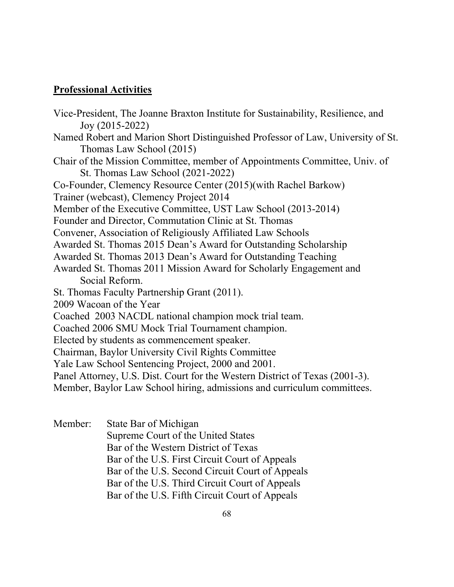#### **Professional Activities**

Vice-President, The Joanne Braxton Institute for Sustainability, Resilience, and Joy (2015-2022) Named Robert and Marion Short Distinguished Professor of Law, University of St. Thomas Law School (2015) Chair of the Mission Committee, member of Appointments Committee, Univ. of St. Thomas Law School (2021-2022) Co-Founder, Clemency Resource Center (2015)(with Rachel Barkow) Trainer (webcast), Clemency Project 2014 Member of the Executive Committee, UST Law School (2013-2014) Founder and Director, Commutation Clinic at St. Thomas Convener, Association of Religiously Affiliated Law Schools Awarded St. Thomas 2015 Dean's Award for Outstanding Scholarship Awarded St. Thomas 2013 Dean's Award for Outstanding Teaching Awarded St. Thomas 2011 Mission Award for Scholarly Engagement and Social Reform. St. Thomas Faculty Partnership Grant (2011). 2009 Wacoan of the Year Coached 2003 NACDL national champion mock trial team. Coached 2006 SMU Mock Trial Tournament champion. Elected by students as commencement speaker. Chairman, Baylor University Civil Rights Committee Yale Law School Sentencing Project, 2000 and 2001. Panel Attorney, U.S. Dist. Court for the Western District of Texas (2001-3). Member, Baylor Law School hiring, admissions and curriculum committees.

Member: State Bar of Michigan Supreme Court of the United States Bar of the Western District of Texas Bar of the U.S. First Circuit Court of Appeals Bar of the U.S. Second Circuit Court of Appeals Bar of the U.S. Third Circuit Court of Appeals Bar of the U.S. Fifth Circuit Court of Appeals